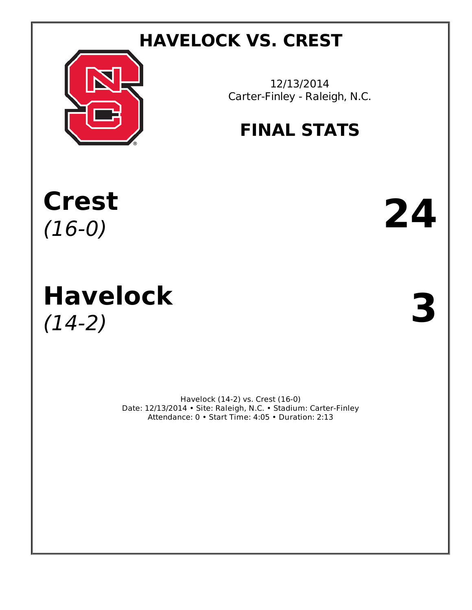# **HAVELOCK VS. CREST**



12/13/2014 Carter-Finley - Raleigh, N.C.

# **FINAL STATS**

**Crest**  $\text{Crest}$  24

# **Havelock Havelock**  $(14-2)$

Havelock (14-2) vs. Crest (16-0) Date: 12/13/2014 • Site: Raleigh, N.C. • Stadium: Carter-Finley Attendance: 0 • Start Time: 4:05 • Duration: 2:13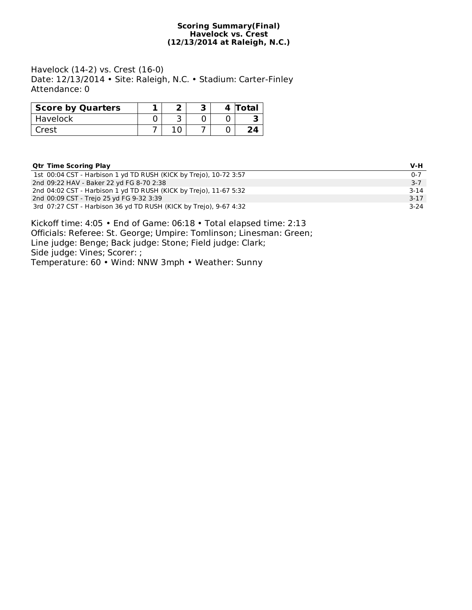#### **Scoring Summary(Final) Havelock vs. Crest (12/13/2014 at Raleigh, N.C.)**

Havelock (14-2) vs. Crest (16-0) Date: 12/13/2014 • Site: Raleigh, N.C. • Stadium: Carter-Finley Attendance: 0

| <b>Score by Quarters</b> |  |  | 4 Total |
|--------------------------|--|--|---------|
| Havelock                 |  |  |         |
| Crest                    |  |  |         |

## **Qtr Time Scoring Play V-H**

| 1st 00:04 CST - Harbison 1 yd TD RUSH (KICK by Trejo), 10-72 3:57 | $0 - 7$  |
|-------------------------------------------------------------------|----------|
| 2nd 09:22 HAV - Baker 22 yd FG 8-70 2:38                          | $3 - 7$  |
| 2nd 04:02 CST - Harbison 1 yd TD RUSH (KICK by Trejo), 11-67 5:32 | $3 - 14$ |
| 2nd 00:09 CST - Trejo 25 yd FG 9-32 3:39                          | $3-17$   |
| 3rd 07:27 CST - Harbison 36 yd TD RUSH (KICK by Trejo), 9-67 4:32 | $3-24$   |

Kickoff time: 4:05 • End of Game: 06:18 • Total elapsed time: 2:13 Officials: Referee: St. George; Umpire: Tomlinson; Linesman: Green; Line judge: Benge; Back judge: Stone; Field judge: Clark; Side judge: Vines; Scorer: ; Temperature: 60 • Wind: NNW 3mph • Weather: Sunny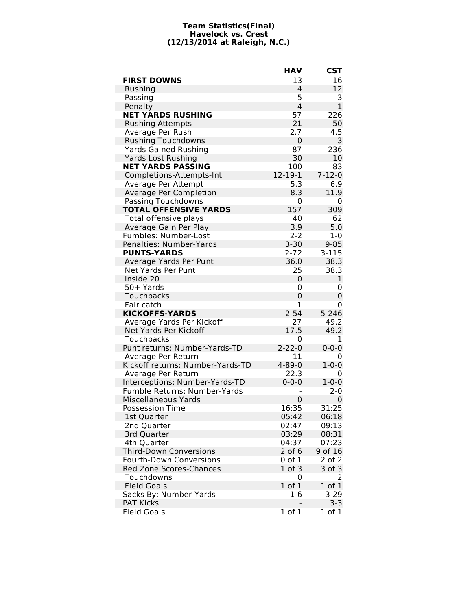#### **Team Statistics(Final) Havelock vs. Crest (12/13/2014 at Raleigh, N.C.)**

|                                  | <b>HAV</b>     | <b>CST</b>   |
|----------------------------------|----------------|--------------|
| <b>FIRST DOWNS</b>               | 13             | 16           |
| Rushing                          | 4              | 12           |
| Passing                          | 5              | 3            |
| Penalty                          | $\overline{4}$ | 1            |
| <b>NET YARDS RUSHING</b>         | 57             | 226          |
| <b>Rushing Attempts</b>          | 21             | 50           |
| Average Per Rush                 | 2.7            | 4.5          |
| <b>Rushing Touchdowns</b>        | 0              | 3            |
| <b>Yards Gained Rushing</b>      | 87             | 236          |
| <b>Yards Lost Rushing</b>        | 30             | 10           |
| <b>NET YARDS PASSING</b>         | 100            | 83           |
| Completions-Attempts-Int         | 12-19-1        | $7 - 12 - 0$ |
| Average Per Attempt              | 5.3            | 6.9          |
| Average Per Completion           | 8.3            | 11.9         |
| Passing Touchdowns               | 0              | 0            |
| <b>TOTAL OFFENSIVE YARDS</b>     | 157            | 309          |
| Total offensive plays            | 40             | 62           |
| Average Gain Per Play            | 3.9            | 5.0          |
| <b>Fumbles: Number-Lost</b>      | $2 - 2$        | $1 - 0$      |
| Penalties: Number-Yards          | $3 - 30$       | $9 - 85$     |
| <b>PUNTS-YARDS</b>               | $2 - 72$       | $3 - 115$    |
| Average Yards Per Punt           | 36.0           | 38.3         |
| Net Yards Per Punt               | 25             | 38.3         |
| Inside 20                        | 0              | 1            |
| 50+ Yards                        | 0              | 0            |
| Touchbacks                       | 0              | 0            |
| Fair catch                       | 1              | 0            |
| <b>KICKOFFS-YARDS</b>            | $2 - 54$       | $5 - 246$    |
| Average Yards Per Kickoff        | 27             | 49.2         |
| Net Yards Per Kickoff            | $-17.5$        | 49.2         |
| Touchbacks                       | 0              | 1            |
| Punt returns: Number-Yards-TD    | $2 - 22 - 0$   | $0 - 0 - 0$  |
| Average Per Return               | 11             | 0            |
| Kickoff returns: Number-Yards-TD | $4 - 89 - 0$   | $1 - 0 - 0$  |
| Average Per Return               | 22.3           | 0            |
| Interceptions: Number-Yards-TD   | $0 - 0 - 0$    | $1 - 0 - 0$  |
| Fumble Returns: Number-Yards     |                | $2 - 0$      |
| <b>Miscellaneous Yards</b>       | 0              | 0            |
| <b>Possession Time</b>           | 16:35          | 31:25        |
| 1st Quarter                      | 05:42          | 06:18        |
| 2nd Quarter                      | 02:47          | 09:13        |
| 3rd Quarter                      | 03:29          | 08:31        |
| 4th Quarter                      | 04:37          | 07:23        |
| <b>Third-Down Conversions</b>    | $2$ of $6$     | 9 of 16      |
| <b>Fourth-Down Conversions</b>   | 0 of 1         | $2$ of $2$   |
| <b>Red Zone Scores-Chances</b>   | $1$ of $3$     | 3 of 3       |
| Touchdowns                       | 0              | 2            |
| <b>Field Goals</b>               | 1 of 1         | 1 of 1       |
| Sacks By: Number-Yards           | $1-6$          | $3 - 29$     |
| <b>PAT Kicks</b>                 |                | $3 - 3$      |
| <b>Field Goals</b>               | $1$ of $1$     | 1 of 1       |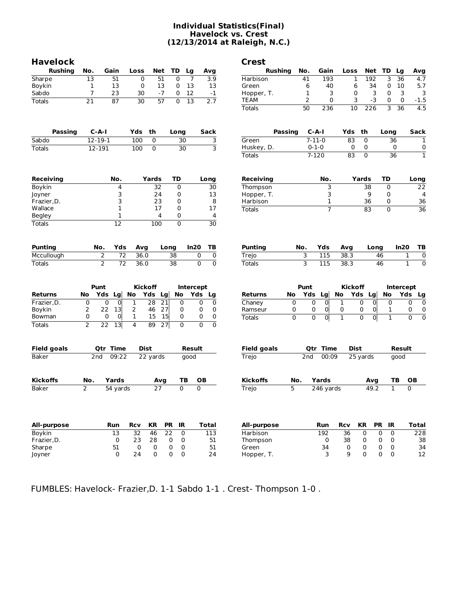### **Individual Statistics(Final) Havelock vs. Crest (12/13/2014 at Raleigh, N.C.)**

| <b>Havelock</b>  |                  |                                   |                  |                       |                 |                  |                                  | <b>Crest</b>       |          |                  |                             |                  |                 |                      |                |
|------------------|------------------|-----------------------------------|------------------|-----------------------|-----------------|------------------|----------------------------------|--------------------|----------|------------------|-----------------------------|------------------|-----------------|----------------------|----------------|
| <b>Rushing</b>   | No.              | Gain                              | Loss             | Net                   | TD              | Lg               | Avg                              | <b>Rushing</b>     |          | Gain<br>No.      |                             | Loss             | Net             | TD<br>Lg             |                |
| Sharpe           | 13               | 51                                | 0                | 51                    | 0               | $\overline{7}$   | 3.9                              | Harbison           |          | 41               | 193                         | 1                | 192             | 3<br>36              |                |
| Boykin           | 1                | 13                                | 0                | 13                    | 0               | 13               | 13                               | Green              |          | 6                | 40                          | 6                | 34              | 0<br>10              |                |
| Sabdo            | 7                | 23                                | 30               | $-7$                  | 0               | 12               | $-1$                             | Hopper, T.         |          | $\mathbf 1$      | 3                           | 0                | 3               | $\mathbf 0$          | $\overline{3}$ |
| <b>Totals</b>    | 21               | 87                                | 30               | 57                    | $\Omega$        | $\overline{13}$  | 2.7                              | TEAM               |          | $\overline{2}$   | 0                           | 3                | -3              | 0                    | $\mathbf 0$    |
|                  |                  |                                   |                  |                       |                 |                  |                                  | <b>Totals</b>      |          | 50               | 236                         | $\overline{10}$  | 226             | 3<br>$\overline{36}$ |                |
| Passing          |                  | $C-A-I$                           | Yds              | th                    | Long            |                  | <b>Sack</b>                      |                    | Passing  | $C-A-I$          |                             | th<br>Yds        |                 | Long                 |                |
| Sabdo            |                  | $12 - 19 - 1$                     | 100              | 0                     |                 | 30               | 3                                | Green              |          | $7 - 11 - 0$     |                             | 83               | 0               | 36                   |                |
| <b>Totals</b>    |                  | 12-191                            | 100              | $\overline{0}$        |                 | $\overline{30}$  | 3                                | Huskey, D.         |          | $0 - 1 - 0$      |                             | 0                | 0               | 0                    |                |
|                  |                  |                                   |                  |                       |                 |                  |                                  | <b>Totals</b>      |          | $7 - 120$        |                             | $\overline{83}$  | $\mathbf 0$     | 36                   |                |
| <b>Receiving</b> |                  | No.                               |                  | Yards                 | TD              |                  | Long                             | <b>Receiving</b>   |          | No.              |                             | Yards            |                 | TD                   | Long           |
| Boykin           |                  | 4                                 |                  | 32                    | $\mathbf 0$     |                  | 30                               | Thompson           |          |                  | 3                           |                  | 38              | $\mathbf 0$          |                |
| Joyner           |                  | 3                                 |                  | 24                    | 0               |                  | 13                               | Hopper, T.         |          |                  | 3                           |                  | 9               | 0                    |                |
| Frazier, D.      |                  | 3                                 |                  | 23                    | 0               |                  | 8                                | Harbison           |          |                  | 1                           |                  | 36              | 0                    |                |
| Wallace          |                  | $\mathbf{1}$                      |                  | 17                    | 0               |                  | 17                               | <b>Totals</b>      |          |                  | $\overline{7}$              |                  | $\overline{83}$ | 0                    |                |
| <b>Begley</b>    |                  | $\mathbf{1}$                      |                  | 4                     | 0               |                  | 4                                |                    |          |                  |                             |                  |                 |                      |                |
| Totals           |                  | $\overline{12}$                   |                  | 100                   | 0               |                  | $\overline{30}$                  |                    |          |                  |                             |                  |                 |                      |                |
| <b>Punting</b>   |                  | No.<br>Yds                        | Avg              |                       | Long            | In20             | ΤB                               | <b>Punting</b>     | No.      | Yds              |                             | Avg              | Long            |                      | In20           |
| Mccullough       |                  | $\overline{72}$<br>2              | 36.0             |                       | 38              |                  | 0<br>0                           | Trejo              |          | 3<br>115         |                             | 38.3             |                 | 46                   | $\mathbf 1$    |
| <b>Totals</b>    |                  | $\overline{2}$<br>$\overline{72}$ | 36.0             |                       | $\overline{38}$ |                  | $\overline{0}$<br>0              | <b>Totals</b>      |          | 3<br>115         |                             | 38.3             |                 | 46                   | $\overline{1}$ |
|                  |                  | Punt                              |                  | Kickoff               |                 | <b>Intercept</b> |                                  |                    |          | Punt             |                             | <b>Kickoff</b>   |                 | Intercept            |                |
| Returns          | No               | Yds Lg                            | No               | Yds                   | Lg<br>No        |                  | Yds<br>Lg                        | <b>Returns</b>     | No       | Yds Lg           | No                          | Yds Lg           |                 | No                   | Yds            |
| Frazier, D.      | $\mathbf 0$<br>2 | $\overline{0}$<br>0<br>13         | $\mathbf{1}$     | $\overline{28}$<br>46 | 21              | 0                | 0<br>0                           | Chaney             | 0        | $\mathbf 0$<br>0 | $\mathbf 0$<br>$\mathbf 1$  | $\mathbf 0$<br>0 | $\overline{0}$  | 0                    | 0              |
| Boykin<br>Bowman | 0                | 22<br>$\overline{0}$<br>0         | 2<br>$\mathbf 1$ | 15                    | 27<br>15        | 0<br>0           | 0<br>0<br>0<br>0                 | Ramseur            | 0        |                  | 0<br>0                      |                  | 0               | 1                    | 0<br>$\Omega$  |
| Totals           | $\overline{2}$   | $\overline{22}$<br>13             | 4                | 89                    | 27              | 0                | $\overline{0}$<br>$\overline{0}$ | <b>Totals</b>      | $\Omega$ | $\Omega$         | $\mathbf 0$<br>$\mathbf{1}$ | $\Omega$         | $\overline{0}$  | 1                    |                |
| Field goals      |                  | <b>Qtr Time</b>                   |                  | Dist                  |                 | Result           |                                  | <b>Field goals</b> |          | <b>Qtr Time</b>  |                             | Dist             |                 | Result               |                |
| <b>Baker</b>     | 2nd              | 09:22                             |                  | 22 yards              |                 | good             |                                  | Trejo              |          | 2nd              | 00:09                       | 25 yards         |                 | good                 |                |
| <b>Kickoffs</b>  | No.              | Yards                             |                  | Avg                   |                 | ТB               | OВ                               | <b>Kickoffs</b>    | No.      | Yards            |                             |                  | Avg             | TB                   | OВ             |
| <b>Baker</b>     | 2                | $\overline{54}$ yards             |                  | 27                    |                 | $\Omega$         | 0                                | Trejo              | 5        |                  | $246$ yards                 |                  | 49.2            | $\mathbf{1}$         | 0              |
|                  |                  |                                   |                  |                       |                 |                  |                                  |                    |          |                  |                             |                  |                 |                      |                |
| All-purpose      |                  | Run                               | <b>Rcv</b>       | <b>KR</b>             | <b>PR</b>       | IR               | <b>Total</b>                     | All-purpose        |          | Run              | <b>Rcv</b>                  | <b>KR</b>        | <b>PR</b>       | IR                   | Total          |
| Boykin           |                  | 13                                | 32               | 46                    | $\overline{22}$ | $\mathbf 0$      | 113                              | Harbison           |          | 192              |                             | 36               | 0               | 0<br>0               |                |
|                  |                  |                                   |                  |                       |                 |                  |                                  |                    |          |                  |                             |                  |                 |                      |                |
| Frazier, D.      |                  | $\mathbf 0$                       | 23               | 28                    | 0               | 0                | 51                               |                    |          |                  | 0                           | 38               | 0               | 0<br>0               |                |
| Sharpe           |                  | 51                                | 0                | 0                     | 0               | 0                | 51                               | Thompson<br>Green  |          | 34               |                             | 0                | 0               | $\mathbf 0$<br>0     |                |

FUMBLES: Havelock- Frazier,D. 1-1 Sabdo 1-1 . Crest- Thompson 1-0 .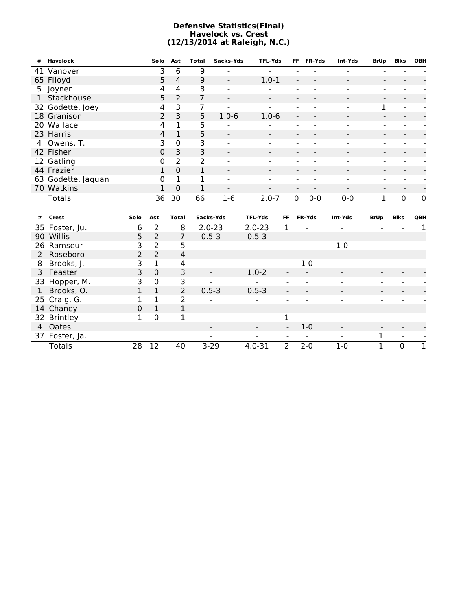#### **Defensive Statistics(Final) Havelock vs. Crest (12/13/2014 at Raleigh, N.C.)**

| #            | Havelock           |      | Solo           | Ast            | <b>Total</b> | Sacks-Yds                | <b>TFL-Yds</b>           |                              | FF.         | FR-Yds          | Int-Yds                  | <b>BrUp</b>              | <b>Blks</b>              | QBH         |
|--------------|--------------------|------|----------------|----------------|--------------|--------------------------|--------------------------|------------------------------|-------------|-----------------|--------------------------|--------------------------|--------------------------|-------------|
|              | 41 Vanover         |      | 3              | 6              | 9            |                          | $\overline{\phantom{a}}$ |                              |             |                 | $\overline{\phantom{a}}$ | $\overline{a}$           |                          |             |
|              | 65 Flloyd          |      | 5              | 4              | 9            |                          | $1.0 - 1$                |                              |             |                 | $\overline{\phantom{a}}$ | $\blacksquare$           |                          |             |
|              | 5 Joyner           |      | 4              | 4              | 8            |                          |                          |                              |             |                 |                          |                          |                          |             |
| $\mathbf{1}$ | Stackhouse         |      | 5              | $\overline{2}$ | 7            | $\blacksquare$           | $\overline{\phantom{a}}$ |                              |             |                 | $\blacksquare$           | $\blacksquare$           |                          |             |
|              | 32 Godette, Joey   |      | 4              | 3              | 7            |                          |                          |                              |             |                 | $\blacksquare$           | 1                        |                          |             |
|              | 18 Granison        |      | 2              | 3              | 5            | $1.0 - 6$                | $1.0 - 6$                |                              |             |                 |                          |                          |                          |             |
| 20           | Wallace            |      | 4              | $\mathbf 1$    | 5            |                          |                          |                              |             |                 | $\overline{\phantom{a}}$ | $\overline{\phantom{a}}$ |                          |             |
|              | 23 Harris          |      | 4              | $\mathbf{1}$   | 5            |                          |                          |                              |             |                 |                          |                          |                          |             |
| 4            | Owens, T.          |      | 3              | 0              | 3            |                          |                          |                              |             |                 | $\overline{\phantom{a}}$ |                          |                          |             |
|              | 42 Fisher          |      | 0              | 3              | 3            |                          |                          |                              |             |                 | $\blacksquare$           | $\blacksquare$           |                          |             |
|              | 12 Gatling         |      | 0              | $\overline{2}$ | 2            |                          |                          |                              |             |                 |                          |                          |                          |             |
|              | 44 Frazier         |      | 1              | $\overline{0}$ | 1            | $\overline{\phantom{a}}$ |                          |                              |             |                 | $\overline{\phantom{a}}$ | $\overline{\phantom{a}}$ |                          |             |
|              | 63 Godette, Jaquan |      | 0              | $\mathbf 1$    | 1            |                          |                          |                              |             |                 |                          |                          |                          |             |
|              | 70 Watkins         |      | 1              | 0              | 1            | $\blacksquare$           |                          |                              |             |                 |                          |                          | $\overline{a}$           |             |
|              | <b>Totals</b>      |      | 36             | 30             | 66           | $1-6$                    | $2.0 - 7$                |                              | $\mathbf 0$ | $0-0$           | $0 - 0$                  | $\mathbf{1}$             | $\mathbf 0$              | $\mathbf 0$ |
|              |                    |      |                |                |              |                          |                          |                              |             |                 |                          |                          |                          |             |
| #            | Crest              | Solo | Ast            | <b>Total</b>   |              | Sacks-Yds                | <b>TFL-Yds</b>           | <b>FF</b>                    |             | FR-Yds          | Int-Yds                  | <b>BrUp</b>              | <b>Blks</b>              | QBH         |
|              | 35 Foster, Ju.     | 6    | $\overline{2}$ | 8              |              | $2.0 - 23$               | $2.0 - 23$               | $\mathbf{1}$                 |             |                 | $\overline{\phantom{a}}$ |                          |                          | 1           |
|              | 90 Willis          | 5    | $\overline{2}$ | 7              |              | $0.5 - 3$                | $0.5 - 3$                | $\blacksquare$               |             |                 | $\overline{\phantom{a}}$ | $\blacksquare$           | $\overline{\phantom{0}}$ |             |
| 26           | Ramseur            | 3    | 2              | 5              |              |                          |                          | $\overline{a}$               |             |                 | $1 - 0$                  |                          |                          |             |
| 2            | Roseboro           | 2    | $\overline{2}$ | 4              |              |                          |                          | $\qquad \qquad \blacksquare$ |             |                 | $\overline{\phantom{a}}$ |                          |                          |             |
| 8            | Brooks, J.         | 3    | 1              | 4              |              | $\blacksquare$           |                          | $\blacksquare$               |             | $1 - 0$         | $\overline{\phantom{a}}$ | $\blacksquare$           |                          |             |
| 3            | Feaster            | 3    | $\mathbf 0$    | 3              |              | $\overline{\phantom{a}}$ | $1.0 - 2$                |                              |             |                 | $\blacksquare$           | $\overline{\phantom{a}}$ |                          |             |
| 33           | Hopper, M.         | 3    | $\mathbf 0$    | 3              |              |                          |                          |                              |             |                 |                          |                          |                          |             |
| 1            | Brooks, O.         | 1    | $\mathbf 1$    | $\overline{2}$ |              | $0.5 - 3$                | $0.5 - 3$                | $\overline{\phantom{0}}$     |             | $\qquad \qquad$ |                          | $\blacksquare$           | $\blacksquare$           |             |
| 25           | Craig, G.          | 1    | 1              | $\overline{2}$ |              |                          |                          |                              |             |                 |                          |                          |                          |             |
|              | 14 Chaney          | 0    | 1              | $\mathbf 1$    |              |                          |                          |                              |             |                 |                          |                          |                          |             |

| 32 Brintley    |    |    | $\sim$                   | $\sim$                            |                  | $\overline{\phantom{a}}$        | and the company of the company    | $\sim$ | $\sim$                                                              |  |
|----------------|----|----|--------------------------|-----------------------------------|------------------|---------------------------------|-----------------------------------|--------|---------------------------------------------------------------------|--|
| 4 Oates        |    |    | $\overline{\phantom{0}}$ | $\blacksquare$                    | $\sim$ 100 $\mu$ | 1-0                             | $\blacksquare$                    | $\sim$ | $\sim$                                                              |  |
| 37 Foster, Ja. |    |    | $\sim$                   | <b>Contract Contract Contract</b> |                  | the contract of the contract of | and the control of the control of |        | $\mathcal{L}_{\text{max}}$ and $\mathcal{L}_{\text{max}}$<br>$\sim$ |  |
| Totals         | วค | 40 | $3-29$                   | $4.0 - 31$                        |                  | $2 \t2 - 2 - 0$                 | $1 - 0$                           |        |                                                                     |  |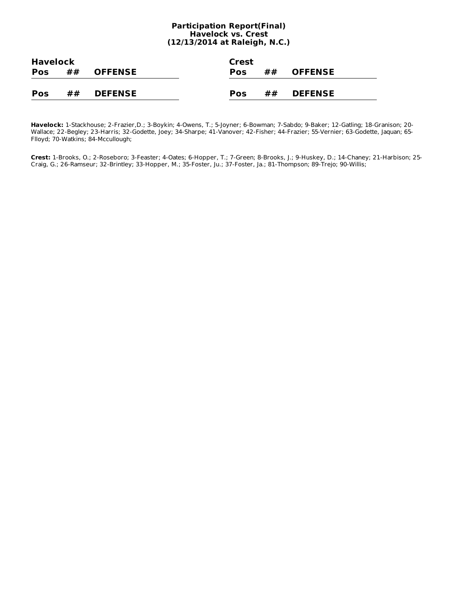#### **Participation Report(Final) Havelock vs. Crest (12/13/2014 at Raleigh, N.C.)**

| <b>Havelock</b> |    |                | Crest      |    |                |  |
|-----------------|----|----------------|------------|----|----------------|--|
| <b>Pos</b>      | ## | <b>OFFENSE</b> | <b>Pos</b> | ## | <b>OFFENSE</b> |  |
|                 |    |                |            |    |                |  |
| <b>Pos</b>      | ## | <b>DEFENSE</b> | Pos        | ## | <b>DEFENSE</b> |  |

**Havelock:** 1-Stackhouse; 2-Frazier,D.; 3-Boykin; 4-Owens, T.; 5-Joyner; 6-Bowman; 7-Sabdo; 9-Baker; 12-Gatling; 18-Granison; 20- Wallace; 22-Begley; 23-Harris; 32-Godette, Joey; 34-Sharpe; 41-Vanover; 42-Fisher; 44-Frazier; 55-Vernier; 63-Godette, Jaquan; 65- Flloyd; 70-Watkins; 84-Mccullough;

**Crest:** 1-Brooks, O.; 2-Roseboro; 3-Feaster; 4-Oates; 6-Hopper, T.; 7-Green; 8-Brooks, J.; 9-Huskey, D.; 14-Chaney; 21-Harbison; 25- Craig, G.; 26-Ramseur; 32-Brintley; 33-Hopper, M.; 35-Foster, Ju.; 37-Foster, Ja.; 81-Thompson; 89-Trejo; 90-Willis;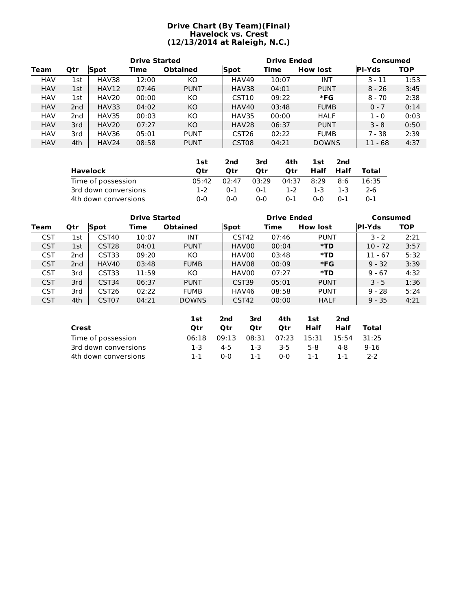## **Drive Chart (By Team)(Final) Havelock vs. Crest (12/13/2014 at Raleigh, N.C.)**

|            | <b>Drive Started</b> |             |       |                 |                   | <b>Drive Ended</b> | Consumed        |               |            |
|------------|----------------------|-------------|-------|-----------------|-------------------|--------------------|-----------------|---------------|------------|
| Team       | <b>Qtr</b>           | <b>Spot</b> | Time  | <b>Obtained</b> | <b>Spot</b>       | Time               | <b>How lost</b> | <b>PI-Yds</b> | <b>TOP</b> |
| <b>HAV</b> | 1st                  | HAV38       | 12:00 | KO              | HAV49             | 10:07              | INT             | $3 - 11$      | 1:53       |
| <b>HAV</b> | 1st                  | HAV12       | 07:46 | <b>PUNT</b>     | HAV38             | 04:01              | <b>PUNT</b>     | $8 - 26$      | 3:45       |
| <b>HAV</b> | 1st                  | HAV20       | 00:00 | KO              | CST <sub>10</sub> | 09:22              | *FG             | $8 - 70$      | 2:38       |
| <b>HAV</b> | 2 <sub>nd</sub>      | HAV33       | 04:02 | KO              | HAV40             | 03:48              | <b>FUMB</b>     | $0 - 7$       | 0:14       |
| <b>HAV</b> | 2nd                  | HAV35       | 00:03 | KO              | HAV35             | 00:00              | <b>HALF</b>     | $1 - 0$       | 0:03       |
| <b>HAV</b> | 3rd                  | HAV20       | 07:27 | KO              | HAV28             | 06:37              | <b>PUNT</b>     | $3 - 8$       | 0:50       |
| <b>HAV</b> | 3rd                  | HAV36       | 05:01 | <b>PUNT</b>     | CST <sub>26</sub> | 02:22              | <b>FUMB</b>     | $7 - 38$      | 2:39       |
| <b>HAV</b> | 4th                  | HAV24       | 08:58 | <b>PUNT</b>     | CST <sub>08</sub> | 04:21              | <b>DOWNS</b>    | $11 - 68$     | 4:37       |

|                      | 1st   | 2nd     | 3rd     | 4th     | 1st  | 2nd     |         |
|----------------------|-------|---------|---------|---------|------|---------|---------|
| Havelock             | Otr   | Otr     | Otr     | Otr     | Half | Half    | Total   |
| Time of possession   | 05:42 | 02:47   | 03:29   | 04:37   | 8:29 | 8:6     | 16:35   |
| 3rd down conversions | 1-2   | $0 - 1$ | $0 - 1$ | $1 - 2$ | 1-3  | -1-3    | 2-6     |
| 4th down conversions | ი-ი   | 0-0     | $0 - 0$ | $0 - 1$ | ი-ი  | $0 - 1$ | $0 - 1$ |

|            |                 |                   | <b>Drive Started</b> |                 |                   | <b>Drive Ended</b> |                 | Consumed      |            |  |  |
|------------|-----------------|-------------------|----------------------|-----------------|-------------------|--------------------|-----------------|---------------|------------|--|--|
| Team       | Qtr             | Spot              | Time                 | <b>Obtained</b> | Spot              | Time               | <b>How lost</b> | <b>PI-Yds</b> | <b>TOP</b> |  |  |
| <b>CST</b> | 1st             | CST <sub>40</sub> | 10:07                | INT             | CST <sub>42</sub> | 07:46              | <b>PUNT</b>     | $3 - 2$       | 2:21       |  |  |
| <b>CST</b> | 1st             | CST <sub>28</sub> | 04:01                | <b>PUNT</b>     | HAV00             | 00:04              | *TD             | $10 - 72$     | 3:57       |  |  |
| <b>CST</b> | 2nd             | CST33             | 09:20                | КO              | HAV00             | 03:48              | *TD             | $11 - 67$     | 5:32       |  |  |
| <b>CST</b> | 2 <sub>nd</sub> | HAV40             | 03:48                | <b>FUMB</b>     | HAV08             | 00:09              | $*FG$           | $9 - 32$      | 3:39       |  |  |
| <b>CST</b> | 3rd             | CST33             | 11:59                | KO              | HAV00             | 07:27              | *TD             | $9 - 67$      | 4:32       |  |  |
| <b>CST</b> | 3rd             | CST34             | 06:37                | <b>PUNT</b>     | CST39             | 05:01              | <b>PUNT</b>     | $3 - 5$       | 1:36       |  |  |
| <b>CST</b> | 3rd             | CST <sub>26</sub> | 02:22                | <b>FUMB</b>     | HAV46             | 08:58              | <b>PUNT</b>     | $9 - 28$      | 5:24       |  |  |
| <b>CST</b> | 4th             | CST <sub>07</sub> | 04:21                | <b>DOWNS</b>    | CST <sub>42</sub> | 00:00              | <b>HALF</b>     | $9 - 35$      | 4:21       |  |  |
|            |                 |                   |                      |                 |                   |                    |                 |               |            |  |  |

|                      | 1st   | 2nd   | 3rd     | 4th         | 1st   | 2nd   |          |
|----------------------|-------|-------|---------|-------------|-------|-------|----------|
| Crest                | Otr   | Otr   | Otr     | Otr         | Half  | Half  | Total    |
| Time of possession   | 06:18 | 09:13 |         | 08:31 07:23 | 15:31 | 15:54 | 31:25    |
| 3rd down conversions | 1-3   | 4-5   | $1 - 3$ | 3-5         | 5-8   | 4-8   | $9 - 16$ |
| 4th down conversions | 1-1   | 0-0   | $1 - 1$ | 0-0         | 1-1   | 1-1   | $2-2$    |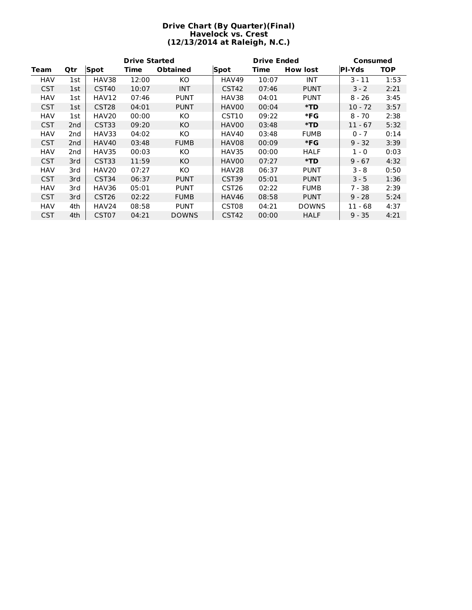### **Drive Chart (By Quarter)(Final) Havelock vs. Crest (12/13/2014 at Raleigh, N.C.)**

|            |                 |                   | <b>Drive Started</b> |                 |                   | <b>Drive Ended</b> |                 | Consumed  |      |  |  |
|------------|-----------------|-------------------|----------------------|-----------------|-------------------|--------------------|-----------------|-----------|------|--|--|
| Team       | Qtr             | <b>Spot</b>       | Time                 | <b>Obtained</b> | Spot              | Time               | <b>How lost</b> | PI-Yds    | TOP. |  |  |
| HAV        | 1st             | HAV38             | 12:00                | KO.             | HAV49             | 10:07              | <b>INT</b>      | $3 - 11$  | 1:53 |  |  |
| <b>CST</b> | 1st             | CST <sub>40</sub> | 10:07                | <b>INT</b>      | CST <sub>42</sub> | 07:46              | <b>PUNT</b>     | $3 - 2$   | 2:21 |  |  |
| <b>HAV</b> | 1st             | HAV12             | 07:46                | <b>PUNT</b>     | HAV38             | 04:01              | <b>PUNT</b>     | 8 - 26    | 3:45 |  |  |
| <b>CST</b> | 1st             | CST <sub>28</sub> | 04:01                | <b>PUNT</b>     | HAV00             | 00:04              | *TD             | $10 - 72$ | 3:57 |  |  |
| <b>HAV</b> | 1st             | HAV20             | 00:00                | KO.             | CST <sub>10</sub> | 09:22              | *FG             | $8 - 70$  | 2:38 |  |  |
| <b>CST</b> | 2 <sub>nd</sub> | CST33             | 09:20                | KO.             | HAV00             | 03:48              | *TD             | $11 - 67$ | 5:32 |  |  |
| <b>HAV</b> | 2nd             | HAV33             | 04:02                | ΚO              | HAV40             | 03:48              | FUMB            | $0 - 7$   | 0:14 |  |  |
| <b>CST</b> | 2nd             | HAV40             | 03:48                | <b>FUMB</b>     | HAV08             | 00:09              | *FG             | $9 - 32$  | 3:39 |  |  |
| <b>HAV</b> | 2nd             | HAV35             | 00:03                | KO.             | HAV35             | 00:00              | HALF            | $1 - 0$   | 0:03 |  |  |
| <b>CST</b> | 3rd             | CST33             | 11:59                | KO.             | HAV00             | 07:27              | *TD             | $9 - 67$  | 4:32 |  |  |
| HAV        | 3rd             | HAV20             | 07:27                | ΚO              | HAV28             | 06:37              | <b>PUNT</b>     | 3 - 8     | 0:50 |  |  |
| <b>CST</b> | 3rd             | CST34             | 06:37                | <b>PUNT</b>     | CST39             | 05:01              | <b>PUNT</b>     | $3 - 5$   | 1:36 |  |  |
| HAV        | 3rd             | HAV36             | 05:01                | <b>PUNT</b>     | CST <sub>26</sub> | 02:22              | FUMB            | 7 - 38    | 2:39 |  |  |
| <b>CST</b> | 3rd             | CST <sub>26</sub> | 02:22                | <b>FUMB</b>     | HAV46             | 08:58              | <b>PUNT</b>     | $9 - 28$  | 5:24 |  |  |
| HAV        | 4th             | HAV24             | 08:58                | <b>PUNT</b>     | CST <sub>08</sub> | 04:21              | <b>DOWNS</b>    | $11 - 68$ | 4:37 |  |  |
| <b>CST</b> | 4th             | CST <sub>07</sub> | 04:21                | <b>DOWNS</b>    | CST <sub>42</sub> | 00:00              | <b>HALF</b>     | $9 - 35$  | 4:21 |  |  |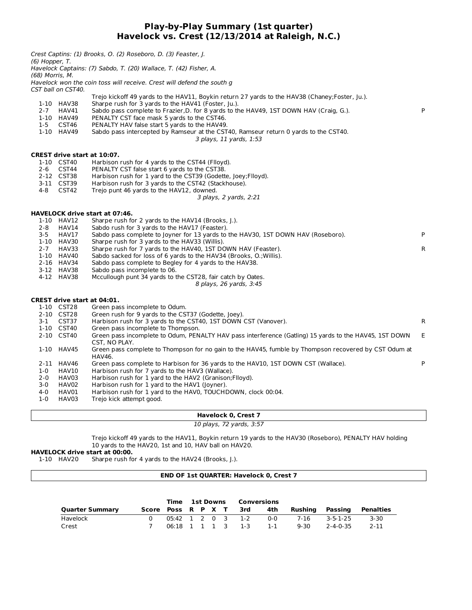## **Play-by-Play Summary (1st quarter) Havelock vs. Crest (12/13/2014 at Raleigh, N.C.)**

|                 |                    | <b>Havelock 0, Crest 7</b>                                                                                              |    |
|-----------------|--------------------|-------------------------------------------------------------------------------------------------------------------------|----|
| $1-0$           | HAV03              | Trejo kick attempt good.                                                                                                |    |
| 4-0             | HAV01              | Harbison rush for 1 yard to the HAV0, TOUCHDOWN, clock 00:04.                                                           |    |
| 3-0             | HAV02              | Harbison rush for 1 yard to the HAV1 (Joyner).                                                                          |    |
| $2 - 0$         | HAV03              | Harbison rush for 1 yard to the HAV2 (Granison; Flloyd).                                                                |    |
| $1-0$           | HAV10              | Harbison rush for 7 yards to the HAV3 (Wallace).                                                                        |    |
|                 | 2-11 HAV46         | Green pass complete to Harbison for 36 yards to the HAV10, 1ST DOWN CST (Wallace).                                      | P  |
|                 | 1-10 HAV45         | Green pass complete to Thompson for no gain to the HAV45, fumble by Thompson recovered by CST Odum at<br>HAV46.         |    |
|                 | 2-10 CST40         | Green pass incomplete to Odum, PENALTY HAV pass interference (Gatling) 15 yards to the HAV45, 1ST DOWN<br>CST, NO PLAY. | E. |
|                 | 1-10 CST40         | Green pass incomplete to Thompson.                                                                                      |    |
| $3 - 1$         | CST37              | Harbison rush for 3 yards to the CST40, 1ST DOWN CST (Vanover).                                                         | R  |
|                 | 2-10 CST28         | Green rush for 9 yards to the CST37 (Godette, Joey).                                                                    |    |
|                 | 1-10 CST28         | Green pass incomplete to Odum.                                                                                          |    |
|                 |                    | <b>CREST drive start at 04:01.</b>                                                                                      |    |
|                 |                    |                                                                                                                         |    |
|                 | 4-12 HAV38         | Mccullough punt 34 yards to the CST28, fair catch by Oates.<br>8 plays, 26 yards, 3:45                                  |    |
|                 | 3-12 HAV38         | Sabdo pass incomplete to 06.                                                                                            |    |
|                 | 2-16 HAV34         | Sabdo pass complete to Begley for 4 yards to the HAV38.                                                                 |    |
|                 | 1-10 HAV40         | Sabdo sacked for loss of 6 yards to the HAV34 (Brooks, O.; Willis).                                                     |    |
| $2 - 7$         | HAV33              | Sharpe rush for 7 yards to the HAV40, 1ST DOWN HAV (Feaster).                                                           | R  |
|                 | 1-10 HAV30         | Sharpe rush for 3 yards to the HAV33 (Willis).                                                                          |    |
| $3 - 5$         | HAV17              | Sabdo pass complete to Joyner for 13 yards to the HAV30, 1ST DOWN HAV (Roseboro).                                       | P  |
| $2 - 8$         | HAV14              | Sabdo rush for 3 yards to the HAV17 (Feaster).                                                                          |    |
|                 | 1-10 HAV12         | Sharpe rush for 2 yards to the HAV14 (Brooks, J.).                                                                      |    |
|                 |                    | <b>HAVELOCK drive start at 07:46.</b>                                                                                   |    |
|                 |                    |                                                                                                                         |    |
|                 |                    | 3 plays, 2 yards, 2:21                                                                                                  |    |
| 4-8             | CST42              | Trejo punt 46 yards to the HAV12, downed.                                                                               |    |
|                 | 3-11 CST39         | Harbison rush for 3 yards to the CST42 (Stackhouse).                                                                    |    |
|                 | 2-12 CST38         | Harbison rush for 1 yard to the CST39 (Godette, Joey; Flloyd).                                                          |    |
| $2 - 6$         | CST44              | PENALTY CST false start 6 yards to the CST38.                                                                           |    |
|                 | 1-10 CST40         | Harbison rush for 4 yards to the CST44 (Flloyd).                                                                        |    |
|                 |                    | CREST drive start at 10:07.                                                                                             |    |
|                 |                    |                                                                                                                         |    |
|                 |                    | 3 plays, 11 yards, 1:53                                                                                                 |    |
|                 | 1-10 HAV49         | Sabdo pass intercepted by Ramseur at the CST40, Ramseur return 0 yards to the CST40.                                    |    |
| $1 - 5$         | CST46              | PENALTY HAV false start 5 yards to the HAV49.                                                                           |    |
|                 | 1-10 HAV49         | PENALTY CST face mask 5 yards to the CST46.                                                                             |    |
| $2 - 7$         | HAV41              | Sabdo pass complete to Frazier, D. for 8 yards to the HAV49, 1ST DOWN HAV (Craig, G.).                                  | P  |
|                 | 1-10 HAV38         | Sharpe rush for 3 yards to the HAV41 (Foster, Ju.).                                                                     |    |
|                 |                    | Trejo kickoff 49 yards to the HAV11, Boykin return 27 yards to the HAV38 (Chaney; Foster, Ju.).                         |    |
|                 | CST ball on CST40. |                                                                                                                         |    |
| (68) Morris, M. |                    | Havelock won the coin toss will receive. Crest will defend the south g                                                  |    |
|                 |                    | Havelock Captains: (7) Sabdo, T. (20) Wallace, T. (42) Fisher, A.                                                       |    |
| (6) Hopper, T.  |                    |                                                                                                                         |    |
|                 |                    | Crest Captins: (1) Brooks, O. (2) Roseboro, D. (3) Feaster, J.                                                          |    |
|                 |                    |                                                                                                                         |    |

10 plays, 72 yards, 3:57

Trejo kickoff 49 yards to the HAV11, Boykin return 19 yards to the HAV30 (Roseboro), PENALTY HAV holding 10 yards to the HAV20, 1st and 10, HAV ball on HAV20.

#### **HAVELOCK drive start at 00:00.**

1-10 HAV20 Sharpe rush for 4 yards to the HAV24 (Brooks, J.).

#### **END OF 1st QUARTER: Havelock 0, Crest 7**

|                        |  | <b>Time 1st Downs Conversions</b> |  |  |                        |     |         |                  |           |
|------------------------|--|-----------------------------------|--|--|------------------------|-----|---------|------------------|-----------|
| <b>Quarter Summary</b> |  |                                   |  |  | Score Poss R P X T 3rd | 4th | Rushina | Passing          | Penalties |
| Havelock               |  |                                   |  |  | 05:42 1 2 0 3 1-2      | በ-በ | 7-16    | 3-5-1-25         | 3-30      |
| Crest                  |  |                                   |  |  | 06:18 1 1 1 3 1-3 1-1  |     | 9-30    | $2 - 4 - 0 - 35$ | 2-11      |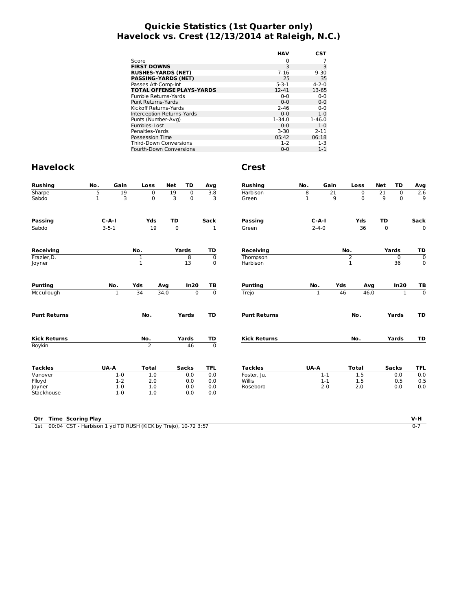# **Quickie Statistics (1st Quarter only) Havelock vs. Crest (12/13/2014 at Raleigh, N.C.)**

|                                  | HAV         | CST         |
|----------------------------------|-------------|-------------|
| Score                            | 0           |             |
| <b>FIRST DOWNS</b>               | 3           | 3           |
| <b>RUSHES-YARDS (NET)</b>        | $7 - 16$    | $9 - 30$    |
| <b>PASSING-YARDS (NET)</b>       | 25          | 35          |
| Passes Att-Comp-Int              | $5 - 3 - 1$ | $4 - 2 - 0$ |
| <b>TOTAL OFFENSE PLAYS-YARDS</b> | $12 - 41$   | 13-65       |
| Fumble Returns-Yards             | $0 - 0$     | $0 - 0$     |
| Punt Returns-Yards               | $0 - 0$     | $0 - 0$     |
| Kickoff Returns-Yards            | $2 - 46$    | $0 - 0$     |
| Interception Returns-Yards       | $0 - 0$     | $1 - 0$     |
| Punts (Number-Avg)               | $1 - 34.0$  | $1 - 46.0$  |
| Fumbles-Lost                     | $0 - 0$     | $1 - 0$     |
| Penalties-Yards                  | $3 - 30$    | $2 - 11$    |
| Possession Time                  | 05:42       | 06:18       |
| <b>Third-Down Conversions</b>    | $1 - 2$     | $1 - 3$     |
| Fourth-Down Conversions          | $0 - 0$     | $1 - 1$     |

# **Havelock Crest**

| 19<br>3     | 0<br>$\Omega$                                      | 19<br>3                                | $\mathbf 0$    | 3.8                                                          | <b>Harbison</b>                | 8                  | $\overline{21}$ | $\mathbf 0$                                           | 21                             | $\mathbf 0$  | Avg<br>2.6                                                                 |  |  |  |  |  |             |
|-------------|----------------------------------------------------|----------------------------------------|----------------|--------------------------------------------------------------|--------------------------------|--------------------|-----------------|-------------------------------------------------------|--------------------------------|--------------|----------------------------------------------------------------------------|--|--|--|--|--|-------------|
|             |                                                    |                                        |                |                                                              |                                |                    |                 |                                                       |                                |              |                                                                            |  |  |  |  |  |             |
|             |                                                    |                                        | $\mathbf 0$    | 3                                                            | Green                          | 1                  | 9               | $\mathbf 0$                                           | 9                              | $\Omega$     | 9                                                                          |  |  |  |  |  |             |
| $C - A - I$ | Yds                                                | TD                                     |                | Sack                                                         | Passing                        | $C-A-I$            |                 | Yds                                                   | TD                             |              | Sack                                                                       |  |  |  |  |  |             |
|             | 19                                                 | 0                                      |                | 1                                                            | Green                          |                    |                 | 36                                                    | $\mathbf 0$                    |              | $\mathbf 0$                                                                |  |  |  |  |  |             |
|             | No.                                                |                                        |                | TD                                                           | <b>Receiving</b>               |                    |                 |                                                       |                                |              | TD                                                                         |  |  |  |  |  |             |
|             |                                                    |                                        | 8              | $\mathbf 0$                                                  | Thompson                       |                    |                 | $\overline{2}$                                        | 0                              |              | $\mathbf 0$                                                                |  |  |  |  |  |             |
|             |                                                    |                                        | 13             | $\mathbf 0$                                                  | Harbison                       |                    |                 | $\mathbf{1}$                                          |                                |              |                                                                            |  |  |  |  |  | $\mathbf 0$ |
| No.         | Yds                                                |                                        | In20           | TB                                                           | <b>Punting</b>                 |                    |                 |                                                       |                                |              | TB                                                                         |  |  |  |  |  |             |
| 1           | 34                                                 |                                        | $\overline{0}$ | $\overline{0}$                                               | Trejo                          |                    |                 |                                                       |                                | $\mathbf{1}$ | $\overline{0}$                                                             |  |  |  |  |  |             |
|             | No.                                                |                                        |                | TD                                                           | <b>Punt Returns</b>            |                    |                 | No.                                                   |                                |              | TD                                                                         |  |  |  |  |  |             |
|             | No.                                                |                                        |                |                                                              | <b>Kick Returns</b>            |                    |                 | No.                                                   |                                |              | TD                                                                         |  |  |  |  |  |             |
|             | $\overline{2}$                                     |                                        | 46             | $\overline{0}$                                               |                                |                    |                 |                                                       |                                |              |                                                                            |  |  |  |  |  |             |
|             | <b>Total</b>                                       |                                        |                | <b>TFL</b>                                                   | <b>Tackles</b>                 |                    |                 | <b>Total</b>                                          |                                |              | <b>TFL</b>                                                                 |  |  |  |  |  |             |
| $1-0$       | 1.0                                                |                                        | 0.0            | 0.0                                                          | Foster, Ju.                    |                    | $1 - 1$         | 1.5                                                   |                                |              | 0.0                                                                        |  |  |  |  |  |             |
|             |                                                    |                                        |                |                                                              |                                |                    |                 |                                                       |                                |              | 0.5                                                                        |  |  |  |  |  |             |
|             |                                                    |                                        |                |                                                              |                                |                    |                 |                                                       |                                |              | 0.0                                                                        |  |  |  |  |  |             |
|             | $3 - 5 - 1$<br>UA-A<br>$1 - 2$<br>$1-0$<br>$1 - 0$ | 1<br>$\mathbf{1}$<br>2.0<br>1.0<br>1.0 | Avg<br>34.0    | Yards<br>Yards<br>Yards<br><b>Sacks</b><br>0.0<br>0.0<br>0.0 | <u>TD</u><br>0.0<br>0.0<br>0.0 | Willis<br>Roseboro |                 | $2 - 4 - 0$<br>No.<br>1<br>UA-A<br>$1 - 1$<br>$2 - 0$ | No.<br>Yds<br>46<br>1.5<br>2.0 | Avg<br>46.0  | Yards<br>36<br>In20<br>Yards<br>Yards<br><b>Sacks</b><br>0.0<br>0.5<br>0.0 |  |  |  |  |  |             |

**Qtr Time Scoring Play V-H**

1st 00:04 CST - Harbison 1 yd TD RUSH (KICK by Trejo), 10-72 3:57 0-7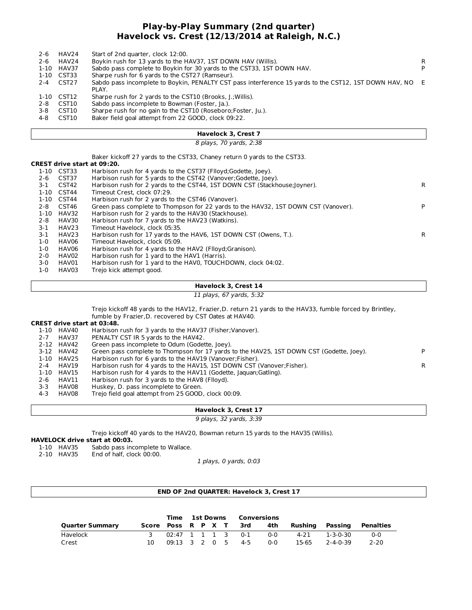# **Play-by-Play Summary (2nd quarter) Havelock vs. Crest (12/13/2014 at Raleigh, N.C.)**

| 2-6<br>2-6 | HAV24<br>HAV24 | Start of 2nd quarter, clock 12:00.<br>Boykin rush for 13 yards to the HAV37, 1ST DOWN HAV (Willis).      | R. |
|------------|----------------|----------------------------------------------------------------------------------------------------------|----|
|            | 1-10 HAV37     | Sabdo pass complete to Boykin for 30 yards to the CST33, 1ST DOWN HAV.                                   | P  |
|            | 1-10 CST33     | Sharpe rush for 6 yards to the CST27 (Ramseur).                                                          |    |
|            | 2-4 CST27      | Sabdo pass incomplete to Boykin, PENALTY CST pass interference 15 yards to the CST12, 1ST DOWN HAV, NO E |    |
|            |                | PLAY.                                                                                                    |    |
| 1-10       | CST12          | Sharpe rush for 2 yards to the CST10 (Brooks, J.; Willis).                                               |    |
| 2-8        | CST10          | Sabdo pass incomplete to Bowman (Foster, Ja.).                                                           |    |
| 3-8        | CST10          | Sharpe rush for no gain to the CST10 (Roseboro; Foster, Ju.).                                            |    |
| 4-8        | CST10          | Baker field goal attempt from 22 GOOD, clock 09:22.                                                      |    |
|            |                |                                                                                                          |    |

#### **Havelock 3, Crest 7**

8 plays, 70 yards, 2:38

Baker kickoff 27 yards to the CST33, Chaney return 0 yards to the CST33.

# **CREST drive start at 09:20.**

|         | 1-10 CST33 | Harbison rush for 4 yards to the CST37 (Flloyd; Godette, Joey).                    |    |
|---------|------------|------------------------------------------------------------------------------------|----|
| $2 - 6$ | CST37      | Harbison rush for 5 yards to the CST42 (Vanover; Godette, Joey).                   |    |
| 3-1     | CST42      | Harbison rush for 2 yards to the CST44, 1ST DOWN CST (Stackhouse; loyner).         | R. |
|         | 1-10 CST44 | Timeout Crest, clock 07:29.                                                        |    |
|         | 1-10 CST44 | Harbison rush for 2 yards to the CST46 (Vanover).                                  |    |
| 2-8     | CST46      | Green pass complete to Thompson for 22 yards to the HAV32, 1ST DOWN CST (Vanover). | P  |
|         | 1-10 HAV32 | Harbison rush for 2 yards to the HAV30 (Stackhouse).                               |    |
| $2 - 8$ | HAV30      | Harbison rush for 7 yards to the HAV23 (Watkins).                                  |    |
| 3-1     | HAV23      | Timeout Havelock, clock 05:35.                                                     |    |
| $3-1$   | HAV23      | Harbison rush for 17 yards to the HAV6, 1ST DOWN CST (Owens, T.).                  | R. |
| 1-0     | HAV06      | Timeout Havelock, clock 05:09.                                                     |    |
| 1-0     | HAV06      | Harbison rush for 4 yards to the HAV2 (Flloyd; Granison).                          |    |
| $2 - 0$ | HAV02      | Harbison rush for 1 yard to the HAV1 (Harris).                                     |    |
| $3-0$   | HAV01      | Harbison rush for 1 yard to the HAVO, TOUCHDOWN, clock 04:02.                      |    |
| 1-0     | HAV03      | Treio kick attempt good.                                                           |    |

#### **Havelock 3, Crest 14**

11 plays, 67 yards, 5:32

Trejo kickoff 48 yards to the HAV12, Frazier,D. return 21 yards to the HAV33, fumble forced by Brintley, fumble by Frazier,D. recovered by CST Oates at HAV40.

#### **CREST drive start at 03:48.**

|         |            | скезт чнуе зшн. ас оз. то.                                                               |   |
|---------|------------|------------------------------------------------------------------------------------------|---|
|         | 1-10 HAV40 | Harbison rush for 3 yards to the HAV37 (Fisher; Vanover).                                |   |
| $2 - 7$ | HAV37      | PENALTY CST IR 5 yards to the HAV42.                                                     |   |
|         | 2-12 HAV42 | Green pass incomplete to Odum (Godette, Joey).                                           |   |
|         | 3-12 HAV42 | Green pass complete to Thompson for 17 yards to the HAV25, 1ST DOWN CST (Godette, Joey). |   |
|         | 1-10 HAV25 | Harbison rush for 6 yards to the HAV19 (Vanover; Fisher).                                |   |
| 2-4     | HAV19      | Harbison rush for 4 yards to the HAV15, 1ST DOWN CST (Vanover; Fisher).                  | R |
| 1-10    | HAV15      | Harbison rush for 4 yards to the HAV11 (Godette, Jaquan; Gatling).                       |   |
| 2-6     | HAV11      | Harbison rush for 3 yards to the HAV8 (Flloyd).                                          |   |
| $3 - 3$ | HAV08      | Huskey, D. pass incomplete to Green.                                                     |   |
|         |            |                                                                                          |   |

4-3 HAV08 Trejo field goal attempt from 25 GOOD, clock 00:09.

#### **Havelock 3, Crest 17**

9 plays, 32 yards, 3:39

Trejo kickoff 40 yards to the HAV20, Bowman return 15 yards to the HAV35 (Willis).

#### **HAVELOCK drive start at 00:03.**

- 1-10 HAV35 Sabdo pass incomplete to Wallace.<br>2-10 HAV35 End of half, clock 00:00.
- End of half, clock 00:00.

1 plays, 0 yards, 0:03

#### **END OF 2nd QUARTER: Havelock 3, Crest 17**

|                        |  | Time 1st Downs Conversions |  |  |                        |     |                 |          |           |
|------------------------|--|----------------------------|--|--|------------------------|-----|-----------------|----------|-----------|
| <b>Quarter Summary</b> |  |                            |  |  | Score Poss R P X T 3rd | 4th | Rushina Passina |          | Penalties |
| Havelock               |  |                            |  |  | 02:47 1 1 1 3 0-1      | 0-Q | 4-21            | 1-3-0-30 | ი-ი       |
| Crest                  |  |                            |  |  | 09:13 3 2 0 5 4-5      | ი-ი | 15-65           | 2-4-0-39 | 2-20      |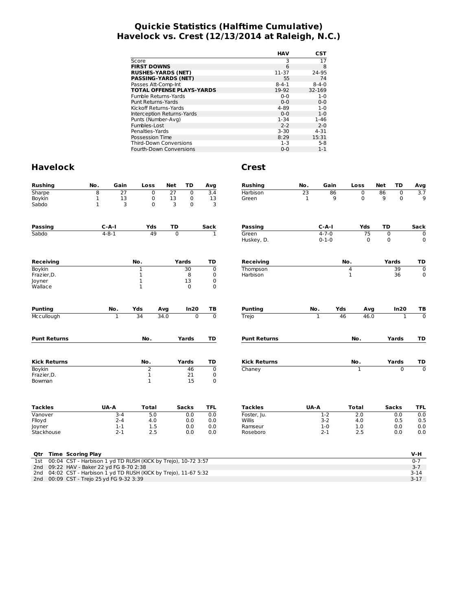# **Quickie Statistics (Halftime Cumulative) Havelock vs. Crest (12/13/2014 at Raleigh, N.C.)**

|                                  | HAV         | CST         |
|----------------------------------|-------------|-------------|
| Score                            | 3           | 17          |
| <b>FIRST DOWNS</b>               | 6           | 8           |
| <b>RUSHES-YARDS (NET)</b>        | 11-37       | 24-95       |
| <b>PASSING-YARDS (NET)</b>       | 55          | 74          |
| Passes Att-Comp-Int              | $8 - 4 - 1$ | $8 - 4 - 0$ |
| <b>TOTAL OFFENSE PLAYS-YARDS</b> | 19-92       | 32-169      |
| Fumble Returns-Yards             | $0 - 0$     | $1 - 0$     |
| Punt Returns-Yards               | $0 - 0$     | $0 - 0$     |
| Kickoff Returns-Yards            | 4-89        | $1 - 0$     |
| Interception Returns-Yards       | $0 - 0$     | $1 - 0$     |
| Punts (Number-Avg)               | $1 - 34$    | $1 - 46$    |
| Fumbles-Lost                     | $2 - 2$     | $2 - 0$     |
| Penalties-Yards                  | $3 - 30$    | 4-31        |
| Possession Time                  | 8:29        | 15:31       |
| <b>Third-Down Conversions</b>    | $1 - 3$     | $5-8$       |
| <b>Fourth-Down Conversions</b>   | $0 - 0$     | $1 - 1$     |

| <b>Rushing</b>                                                                                                   | No.          | Gain            | Loss             | Net  | <b>TD</b>      | Avg              | <b>Rushing</b>      | No.  | Gain                       | Loss         |                   | Net              | TD           | Avg                |
|------------------------------------------------------------------------------------------------------------------|--------------|-----------------|------------------|------|----------------|------------------|---------------------|------|----------------------------|--------------|-------------------|------------------|--------------|--------------------|
| Sharpe                                                                                                           | 8            | $\overline{27}$ | 0                | 27   | 0              | 3.4              | Harbison            | 23   | 86                         |              | 0                 | 86               | 0            | $\overline{3.7}$   |
| Boykin                                                                                                           | $\mathbf{1}$ | 13              | 0                | 13   | $\mathbf 0$    | 13               | Green               | 1    | 9                          |              | 0                 | 9                | $\mathbf 0$  | 9                  |
| Sabdo                                                                                                            | $\mathbf{1}$ | 3               | 0                |      | 0<br>3         | 3                |                     |      |                            |              |                   |                  |              |                    |
| Passing                                                                                                          |              | C-A-I           | Yds              | TD   |                | Sack             | Passing             |      | $C-A-I$                    |              | Yds               | TD               |              | Sack               |
| Sabdo                                                                                                            |              | $4 - 8 - 1$     | 49               |      | $\overline{0}$ | $\mathbf{1}$     | Green<br>Huskey, D. |      | $4 - 7 - 0$<br>$0 - 1 - 0$ |              | 75<br>$\mathbf 0$ | 0<br>$\mathbf 0$ |              | 0<br>0             |
|                                                                                                                  |              |                 |                  |      |                |                  |                     |      |                            |              |                   |                  |              |                    |
| <b>Receiving</b>                                                                                                 |              |                 | No.              |      | Yards          | TD               | Receiving           |      |                            | No.          |                   | Yards            |              | TD                 |
| Boykin                                                                                                           |              |                 | 1                |      | 30             | $\mathbf 0$      | Thompson            |      |                            | 4            |                   |                  | 39           | $\overline{0}$     |
| Frazier, D.                                                                                                      |              |                 | 1                |      | 8              | 0                | Harbison            |      |                            | $\mathbf 1$  |                   |                  | 36           | 0                  |
| Joyner<br>Wallace                                                                                                |              |                 | $\mathbf 1$<br>1 |      | 13<br>$\Omega$ | 0<br>$\mathbf 0$ |                     |      |                            |              |                   |                  |              |                    |
| <b>Punting</b>                                                                                                   |              | No.             | Yds              | Avg  | In20           | ΤВ               | <b>Punting</b>      | No.  |                            | Yds          | Avg               |                  | In20         | TВ                 |
| Mccullough                                                                                                       |              | $\overline{1}$  | 34               | 34.0 | $\mathbf 0$    | $\overline{0}$   | Trejo               |      | $\mathbf{1}$               | 46           | 46.0              |                  | $\mathbf{1}$ | $\mathbf 0$        |
|                                                                                                                  |              |                 |                  |      |                |                  |                     |      |                            |              |                   |                  |              |                    |
| <b>Punt Returns</b>                                                                                              |              |                 | No.              |      | Yards          | TD               | <b>Punt Returns</b> |      |                            | No.          |                   |                  | Yards        | TD                 |
| <b>Kick Returns</b>                                                                                              |              |                 | No.              |      | Yards          | TD               | <b>Kick Returns</b> |      |                            | No.          |                   |                  | Yards        | TD                 |
| Boykin                                                                                                           |              |                 | $\overline{2}$   |      | 46             | $\mathbf 0$      | Chaney              |      |                            | $\mathbf{1}$ |                   |                  | $\Omega$     | $\Omega$           |
| Frazier, D.                                                                                                      |              |                 | 1                |      | 21             | 0                |                     |      |                            |              |                   |                  |              |                    |
| Bowman                                                                                                           |              |                 | $\mathbf{1}$     |      | 15             | $\mathbf 0$      |                     |      |                            |              |                   |                  |              |                    |
| <b>Tackles</b>                                                                                                   |              | UA-A            | <b>Total</b>     |      | <b>Sacks</b>   | <b>TFL</b>       | <b>Tackles</b>      | UA-A |                            | <b>Total</b> |                   |                  | <b>Sacks</b> | <b>TFL</b>         |
| Vanover                                                                                                          |              | $3 - 4$         | 5.0              |      | 0.0            | 0.0              | Foster, Ju.         |      | $1-2$                      | 2.0          |                   |                  | 0.0          | 0.0                |
| Flloyd                                                                                                           |              | $2 - 4$         | 4.0              |      | 0.0            | 0.0              | Willis              |      | $3-2$                      | 4.0          |                   |                  | 0.5          | 0.5                |
| Joyner                                                                                                           |              | $1 - 1$         | 1.5              |      | 0.0            | 0.0              | Ramseur             |      | $1-0$                      | 1.0          |                   |                  | 0.0          | 0.0                |
| Stackhouse                                                                                                       |              | $2 - 1$         | 2.5              |      | 0.0            | 0.0              | Roseboro            |      | $2 - 1$                    | 2.5          |                   |                  | 0.0          | 0.0                |
| <b>Time Scoring Play</b><br>Qtr                                                                                  |              |                 |                  |      |                |                  |                     |      |                            |              |                   |                  |              | V-H                |
| 00:04 CST - Harbison 1 yd TD RUSH (KICK by Trejo), 10-72 3:57<br>1st                                             |              |                 |                  |      |                |                  |                     |      |                            |              |                   |                  |              | $0 - 7$            |
| 09:22 HAV - Baker 22 yd FG 8-70 2:38<br>2nd                                                                      |              |                 |                  |      |                |                  |                     |      |                            |              |                   |                  |              | $3 - 7$            |
| 04:02 CST - Harbison 1 yd TD RUSH (KICK by Trejo), 11-67 5:32<br>2nd<br>2nd 00:09 CST - Trejo 25 yd FG 9-32 3:39 |              |                 |                  |      |                |                  |                     |      |                            |              |                   |                  |              | $3 - 14$<br>$3-17$ |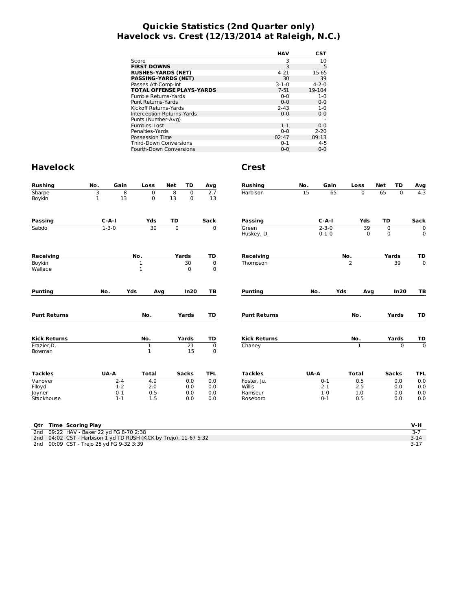# **Quickie Statistics (2nd Quarter only) Havelock vs. Crest (12/13/2014 at Raleigh, N.C.)**

| HAV         | CST         |
|-------------|-------------|
| 3           | 10          |
| 3           | 5           |
| $4 - 21$    | 15-65       |
| 30          | 39          |
| $3 - 1 - 0$ | $4 - 2 - 0$ |
| $7 - 51$    | 19-104      |
| $0 - 0$     | $1 - 0$     |
| $0 - 0$     | $0 - 0$     |
| $2 - 43$    | $1 - 0$     |
| $0 - 0$     | $0 - 0$     |
|             |             |
| $1 - 1$     | $0 - 0$     |
| $0 - 0$     | $2 - 20$    |
| 02:47       | 09:13       |
| $0 - 1$     | $4 - 5$     |
| $0 - 0$     | $0 - 0$     |
|             |             |

| <b>Rushing</b>           | No.               | Gain               | Loss             | <b>Net</b>     | TD                            | Avg                           | <b>Rushing</b>      | No.  | Gain                       |                | Loss         | <b>Net</b>       | <b>TD</b>    | Avg                        |  |  |    |                |
|--------------------------|-------------------|--------------------|------------------|----------------|-------------------------------|-------------------------------|---------------------|------|----------------------------|----------------|--------------|------------------|--------------|----------------------------|--|--|----|----------------|
| Sharpe<br>Boykin         | 3<br>$\mathbf{1}$ | 8<br>13            | 0<br>0           | 8<br>13        | $\overline{0}$<br>$\mathbf 0$ | 2.7<br>13                     | Harbison            | 15   | 65                         |                | 0            | 65               | $\Omega$     | 4.3                        |  |  |    |                |
|                          |                   | $C - A - I$        | Yds              | TD             |                               |                               |                     |      | $C-A-I$                    |                | Yds          | TD               |              |                            |  |  |    |                |
| <b>Passing</b>           |                   |                    |                  |                |                               | Sack                          | Passing             |      |                            |                |              |                  |              | Sack                       |  |  |    |                |
| Sabdo                    |                   | $1 - 3 - 0$        | 30               | $\overline{0}$ |                               | $\Omega$                      | Green<br>Huskey, D. |      | $2 - 3 - 0$<br>$0 - 1 - 0$ |                | 39<br>0      | 0<br>$\mathbf 0$ |              | $\mathbf 0$<br>$\mathbf 0$ |  |  |    |                |
| <b>Receiving</b>         |                   |                    | No.              |                | Yards                         | TD                            | <b>Receiving</b>    |      |                            | No.            |              |                  | Yards        | TD                         |  |  |    |                |
| <b>Boykin</b><br>Wallace |                   |                    | 1<br>1           |                | 30<br>$\Omega$                | $\mathbf 0$<br>$\mathbf 0$    | Thompson            |      |                            | $\overline{2}$ |              |                  |              |                            |  |  | 39 | $\overline{0}$ |
| <b>Punting</b>           | No.               |                    | Yds<br>Avg       |                | In20                          | TB                            | <b>Punting</b>      | No.  |                            | Yds            | Avg          |                  | In20         | TB                         |  |  |    |                |
| <b>Punt Returns</b>      | No.               |                    |                  | Yards          | TD                            | <b>Punt Returns</b>           |                     |      |                            | No.            |              | Yards            | TD           |                            |  |  |    |                |
| <b>Kick Returns</b>      |                   |                    | No.              |                | Yards                         | TD                            | <b>Kick Returns</b> |      | No.                        |                |              |                  | Yards        | TD                         |  |  |    |                |
| Frazier, D.<br>Bowman    |                   |                    | 1<br>$\mathbf 1$ |                | 21<br>15                      | $\overline{0}$<br>$\mathbf 0$ | Chaney              |      |                            |                | 1            |                  | $\Omega$     | $\overline{0}$             |  |  |    |                |
| <b>Tackles</b>           |                   | UA-A               | <b>Total</b>     |                | <b>Sacks</b>                  | <b>TFL</b>                    | <b>Tackles</b>      | UA-A |                            |                | <b>Total</b> |                  | <b>Sacks</b> | <b>TFL</b>                 |  |  |    |                |
| Vanover                  |                   | $2 - 4$            | 4.0              |                | 0.0                           | 0.0                           | Foster, Ju.         |      | $0 - 1$                    |                | 0.5          |                  | 0.0          | 0.0                        |  |  |    |                |
| Flloyd                   |                   | $1-2$              | 2.0              |                | 0.0                           | 0.0                           | Willis              |      | $2 - 1$                    |                | 2.5          |                  | 0.0          | 0.0                        |  |  |    |                |
|                          |                   |                    |                  |                |                               |                               |                     |      |                            |                |              |                  |              | 0.0<br>0.0                 |  |  |    |                |
| Joyner<br>Stackhouse     |                   | $0 - 1$<br>$1 - 1$ | 0.5<br>1.5       |                | 0.0<br>0.0                    | 0.0<br>0.0                    | Ramseur<br>Roseboro |      | $1-0$<br>$0 - 1$           |                | 1.0<br>0.5   |                  | 0.0<br>0.0   |                            |  |  |    |                |

|  | Otr Time Scoring Play                                             | V-H      |
|--|-------------------------------------------------------------------|----------|
|  | 2nd 09:22 HAV - Baker 22 yd FG 8-70 2:38                          |          |
|  | 2nd 04:02 CST - Harbison 1 yd TD RUSH (KICK by Trejo), 11-67 5:32 | $3 - 14$ |
|  | 2nd 00:09 CST - Trejo 25 yd FG 9-32 3:39                          |          |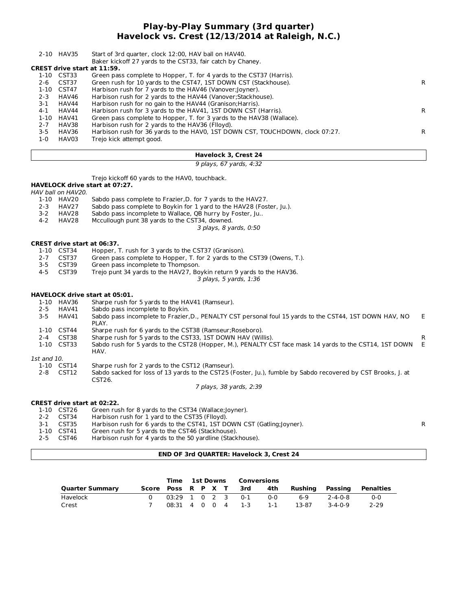## **Play-by-Play Summary (3rd quarter) Havelock vs. Crest (12/13/2014 at Raleigh, N.C.)**

|         | 2-10 HAV35                         | Start of 3rd quarter, clock 12:00, HAV ball on HAV40.                         |    |  |  |  |  |  |  |  |  |  |
|---------|------------------------------------|-------------------------------------------------------------------------------|----|--|--|--|--|--|--|--|--|--|
|         |                                    | Baker kickoff 27 yards to the CST33, fair catch by Chaney.                    |    |  |  |  |  |  |  |  |  |  |
|         | <b>CREST drive start at 11:59.</b> |                                                                               |    |  |  |  |  |  |  |  |  |  |
|         | 1-10 CST33                         | Green pass complete to Hopper, T. for 4 yards to the CST37 (Harris).          |    |  |  |  |  |  |  |  |  |  |
| $2 - 6$ | CST37                              | Green rush for 10 yards to the CST47, 1ST DOWN CST (Stackhouse).              | R  |  |  |  |  |  |  |  |  |  |
|         | 1-10 CST47                         | Harbison rush for 7 yards to the HAV46 (Vanover; loyner).                     |    |  |  |  |  |  |  |  |  |  |
| $2 - 3$ | HAV46                              | Harbison rush for 2 yards to the HAV44 (Vanover; Stackhouse).                 |    |  |  |  |  |  |  |  |  |  |
| $3-1$   | HAV44                              | Harbison rush for no gain to the HAV44 (Granison; Harris).                    |    |  |  |  |  |  |  |  |  |  |
| $4 - 1$ | HAV44                              | Harbison rush for 3 yards to the HAV41, 1ST DOWN CST (Harris).                | R. |  |  |  |  |  |  |  |  |  |
| 1-10    | HAV41                              | Green pass complete to Hopper, T. for 3 yards to the HAV38 (Wallace).         |    |  |  |  |  |  |  |  |  |  |
| $2 - 7$ | HAV38                              | Harbison rush for 2 yards to the HAV36 (Flloyd).                              |    |  |  |  |  |  |  |  |  |  |
| $3 - 5$ | HAV36                              | Harbison rush for 36 yards to the HAV0, 1ST DOWN CST, TOUCHDOWN, clock 07:27. | R  |  |  |  |  |  |  |  |  |  |
| $1 - 0$ | HAV03                              | Trejo kick attempt good.                                                      |    |  |  |  |  |  |  |  |  |  |
|         |                                    |                                                                               |    |  |  |  |  |  |  |  |  |  |

#### **Havelock 3, Crest 24**

9 plays, 67 yards, 4:32

|             |                                    | Trejo kickoff 60 yards to the HAVO, touchback.                                                                         |    |
|-------------|------------------------------------|------------------------------------------------------------------------------------------------------------------------|----|
|             |                                    | <b>HAVELOCK drive start at 07:27.</b>                                                                                  |    |
|             | HAV ball on HAV20.                 |                                                                                                                        |    |
|             | 1-10 HAV20                         | Sabdo pass complete to Frazier, D. for 7 yards to the HAV27.                                                           |    |
| $2 - 3$     | HAV27                              | Sabdo pass complete to Boykin for 1 yard to the HAV28 (Foster, Ju.).                                                   |    |
| $3 - 2$     | HAV28                              | Sabdo pass incomplete to Wallace, QB hurry by Foster, Ju                                                               |    |
| $4 - 2$     | HAV28                              | Mccullough punt 38 yards to the CST34, downed.                                                                         |    |
|             |                                    | 3 plays, 8 yards, 0:50                                                                                                 |    |
|             | <b>CREST drive start at 06:37.</b> |                                                                                                                        |    |
|             | 1-10 CST34                         | Hopper, T. rush for 3 yards to the CST37 (Granison).                                                                   |    |
| $2 - 7$     | CST37                              | Green pass complete to Hopper, T. for 2 yards to the CST39 (Owens, T.).                                                |    |
| $3 - 5$     | CST39                              | Green pass incomplete to Thompson.                                                                                     |    |
| $4 - 5$     | CST39                              | Trejo punt 34 yards to the HAV27, Boykin return 9 yards to the HAV36.                                                  |    |
|             |                                    | 3 plays, 5 yards, 1:36                                                                                                 |    |
|             |                                    | <b>HAVELOCK drive start at 05:01.</b>                                                                                  |    |
|             | 1-10 HAV36                         | Sharpe rush for 5 yards to the HAV41 (Ramseur).                                                                        |    |
| $2 - 5$     | HAV41                              | Sabdo pass incomplete to Boykin.                                                                                       |    |
| $3 - 5$     | HAV41                              | Sabdo pass incomplete to Frazier, D., PENALTY CST personal foul 15 yards to the CST44, 1ST DOWN HAV, NO<br>PLAY.       | E. |
|             | 1-10 CST44                         | Sharpe rush for 6 yards to the CST38 (Ramseur; Roseboro).                                                              |    |
| $2 - 4$     | CST38                              | Sharpe rush for 5 yards to the CST33, 1ST DOWN HAV (Willis).                                                           | R. |
|             | 1-10 CST33                         | Sabdo rush for 5 yards to the CST28 (Hopper, M.), PENALTY CST face mask 14 yards to the CST14, 1ST DOWN<br>HAV.        | E  |
| 1st and 10. |                                    |                                                                                                                        |    |
|             | 1-10 CST14                         | Sharpe rush for 2 yards to the CST12 (Ramseur).                                                                        |    |
| $2 - 8$     | CST12                              | Sabdo sacked for loss of 13 yards to the CST25 (Foster, Ju.), fumble by Sabdo recovered by CST Brooks, J. at<br>CST26. |    |
|             |                                    | 7 plays, 38 yards, 2:39                                                                                                |    |
|             | <b>CREST drive start at 02:22.</b> |                                                                                                                        |    |
|             | 1-10 CST26                         | Green rush for 8 yards to the CST34 (Wallace; Joyner).                                                                 |    |
| $2 - 2$     | CST34                              | Harbison rush for 1 yard to the CST35 (Flloyd).                                                                        |    |
| $3 - 1$     | CST35                              | Harbison rush for 6 yards to the CST41, 1ST DOWN CST (Gatling; Joyner).                                                | R  |
|             | 1-10 CST41                         | Green rush for 5 yards to the CST46 (Stackhouse).                                                                      |    |
|             | <b>CETAG</b>                       | Harbicon ruch for A varde to the 50 vardline (Stackhouse)                                                              |    |

2-5 CST46 Harbison rush for 4 yards to the 50 yardline (Stackhouse).

#### **END OF 3rd QUARTER: Havelock 3, Crest 24**

|                        |  | <b>Time 1st Downs Conversions</b> |  |  |                            |       |                 |                 |           |
|------------------------|--|-----------------------------------|--|--|----------------------------|-------|-----------------|-----------------|-----------|
| <b>Quarter Summary</b> |  |                                   |  |  | Score Poss R P X T 3rd 4th |       | Rushina Passina |                 | Penalties |
| Havelock               |  |                                   |  |  | 03:29 1 0 2 3 0-1          | റ-റ   | ․ հ. Գ          | $7 - 4 - 0 - 8$ | $0 - 0$   |
| Crest                  |  |                                   |  |  | 08:31 4 0 0 4 1-3          | $1-1$ | 13-87           | $3 - 4 - 0 - 9$ | $2-29$    |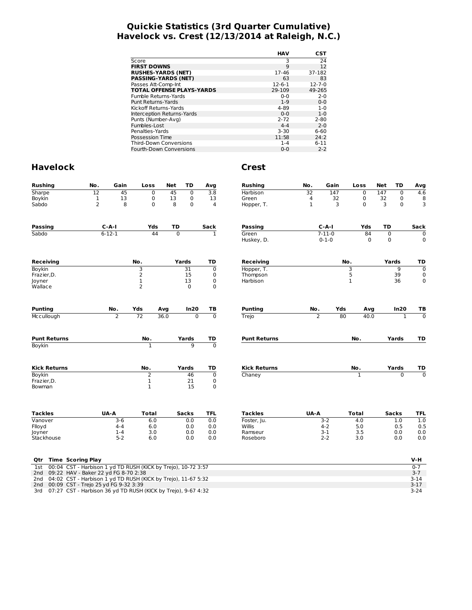# **Quickie Statistics (3rd Quarter Cumulative) Havelock vs. Crest (12/13/2014 at Raleigh, N.C.)**

|                                  | <b>HAV</b>   | CST          |
|----------------------------------|--------------|--------------|
| Score                            | 3            | 24           |
| <b>FIRST DOWNS</b>               | 9            | 12           |
| <b>RUSHES-YARDS (NET)</b>        | 17-46        | 37-182       |
| <b>PASSING-YARDS (NET)</b>       | 63           | 83           |
| Passes Att-Comp-Int              | $12 - 6 - 1$ | $12 - 7 - 0$ |
| <b>TOTAL OFFENSE PLAYS-YARDS</b> | 29-109       | 49-265       |
| Fumble Returns-Yards             | $0 - 0$      | $2 - 0$      |
| Punt Returns-Yards               | $1 - 9$      | $0 - 0$      |
| Kickoff Returns-Yards            | 4-89         | $1 - 0$      |
| Interception Returns-Yards       | $0 - 0$      | $1 - 0$      |
| Punts (Number-Avg)               | $2 - 72$     | $2 - 80$     |
| Fumbles-Lost                     | $4 - 4$      | $2 - 0$      |
| Penalties-Yards                  | $3 - 30$     | $6 - 60$     |
| Possession Time                  | 11:58        | 24:2         |
| <b>Third-Down Conversions</b>    | $1 - 4$      | $6 - 11$     |
| <b>Fourth-Down Conversions</b>   | 0-0          | $2 - 2$      |

| <b>Rushing</b>                                                       | No.            | Gain           | Loss           |      | <b>Net</b>     | TD             | Avg            | <b>Rushing</b>      | No.         | Gain         |             | Loss         | <b>Net</b>  | TD             | Avg            |
|----------------------------------------------------------------------|----------------|----------------|----------------|------|----------------|----------------|----------------|---------------------|-------------|--------------|-------------|--------------|-------------|----------------|----------------|
| Sharpe                                                               | 12             | 45             | 0              |      | 45             | $\mathbf 0$    | 3.8            | Harbison            | 32          | 147          |             | $\mathbf 0$  | 147         | $\mathbf 0$    | 4.6            |
| Boykin                                                               | $\mathbf 1$    | 13             | 0              |      | 13             | 0              | 13             | Green               | 4           | 32           |             | 0            | 32          | 0              | 8              |
| Sabdo                                                                | $\overline{2}$ | 8              | 0              |      | 8              | $\mathbf 0$    | $\overline{4}$ | Hopper, T.          | $\mathbf 1$ | 3            |             | 0            | 3           | $\mathbf 0$    | 3              |
|                                                                      |                |                |                |      |                |                |                |                     |             |              |             |              |             |                |                |
| <b>Passing</b>                                                       |                | $C-A-I$        | Yds            |      | TD             |                | Sack           | <b>Passing</b>      |             | $C-A-I$      |             | Yds          | TD          |                | Sack           |
| Sabdo                                                                |                | $6 - 12 - 1$   | 44             |      | $\overline{0}$ |                | $\overline{1}$ | Green               |             | $7 - 11 - 0$ |             | 84           | $\mathbf 0$ |                | $\mathbf 0$    |
|                                                                      |                |                |                |      |                |                |                | Huskey, D.          |             | $0 - 1 - 0$  |             | $\Omega$     | $\mathbf 0$ |                | 0              |
| <b>Receiving</b>                                                     |                |                | No.            |      | Yards          |                | TD             | Receiving           |             |              | No.         |              |             | Yards          | TD             |
| <b>Boykin</b>                                                        |                |                | 3              |      |                | 31             | $\mathbf 0$    | Hopper, T.          |             |              | З           |              |             | $\overline{9}$ | $\mathbf 0$    |
| Frazier, D.                                                          |                |                | $\overline{2}$ |      |                | 15             | 0              | Thompson            |             |              | 5           |              |             | 39             | 0              |
| Joyner                                                               |                |                | $\mathbf 1$    |      |                | 13             | $\mathbf 0$    | Harbison            |             |              | $\mathbf 1$ |              |             | 36             | 0              |
| Wallace                                                              |                |                | $\overline{2}$ |      |                | $\mathbf 0$    | $\mathbf 0$    |                     |             |              |             |              |             |                |                |
| <b>Punting</b>                                                       |                | No.            | Yds            | Avg  |                | In20           | TB             | <b>Punting</b>      | No.         | Yds          |             | Avg          |             | In20           | TВ             |
| Mccullough                                                           |                | $\overline{2}$ | 72             | 36.0 |                | $\overline{0}$ | $\overline{0}$ | Trejo               | 2           |              | 80          | 40.0         |             | $\mathbf{1}$   | $\mathbf 0$    |
|                                                                      |                |                |                |      |                |                |                |                     |             |              |             |              |             |                |                |
| <b>Punt Returns</b>                                                  |                |                | No.            |      |                | Yards          | TD             | <b>Punt Returns</b> |             |              |             | No.          |             | Yards          | TD             |
| Boykin                                                               |                |                | $\mathbf{1}$   |      |                | 9              | $\overline{0}$ |                     |             |              |             |              |             |                |                |
| <b>Kick Returns</b>                                                  |                |                | No.            |      |                | Yards          | TD             | <b>Kick Returns</b> |             |              |             | No.          |             | Yards          | TD             |
| <b>Boykin</b>                                                        |                |                | 2              |      |                | 46             | $\mathbf 0$    | Chaney              |             |              |             | 1            |             | $\Omega$       | $\overline{0}$ |
| Frazier, D.                                                          |                |                | $\mathbf 1$    |      |                | 21             | $\mathbf 0$    |                     |             |              |             |              |             |                |                |
| Bowman                                                               |                |                | $\mathbf{1}$   |      |                | 15             | $\mathbf 0$    |                     |             |              |             |              |             |                |                |
| <b>Tackles</b>                                                       |                | UA-A           | <b>Total</b>   |      |                | <b>Sacks</b>   | <b>TFL</b>     | <b>Tackles</b>      | UA-A        |              |             | <b>Total</b> |             | <b>Sacks</b>   | <b>TFL</b>     |
| Vanover                                                              |                | $3-6$          | 6.0            |      |                | 0.0            | 0.0            | Foster, Ju.         |             | $3-2$        |             | 4.0          |             | 1.0            | 1.0            |
| Flloyd                                                               |                | $4 - 4$        | 6.0            |      |                | 0.0            | 0.0            | Willis              |             | $4 - 2$      |             | 5.0          |             | 0.5            | 0.5            |
| Joyner                                                               |                | $1 - 4$        | 3.0            |      |                | 0.0            | 0.0            | Ramseur             |             | $3-1$        |             | 3.5          |             | 0.0            | 0.0            |
| Stackhouse                                                           |                | $5 - 2$        | 6.0            |      |                | 0.0            | 0.0            | Roseboro            |             | $2 - 2$      |             | 3.0          |             | 0.0            | 0.0            |
|                                                                      |                |                |                |      |                |                |                |                     |             |              |             |              |             |                |                |
| <b>Time Scoring Play</b><br>Qtr                                      |                |                |                |      |                |                |                |                     |             |              |             |              |             |                | V-H            |
| 00:04 CST - Harbison 1 yd TD RUSH (KICK by Trejo), 10-72 3:57<br>1st |                |                |                |      |                |                |                |                     |             |              |             |              |             |                | $0 - 7$        |
| 09:22 HAV - Baker 22 yd FG 8-70 2:38<br>2 <sub>nd</sub>              |                |                |                |      |                |                |                |                     |             |              |             |              |             |                | $3 - 7$        |
| 04:02 CST - Harbison 1 yd TD RUSH (KICK by Trejo), 11-67 5:32<br>2nd |                |                |                |      |                |                |                |                     |             |              |             |              |             |                | $3 - 14$       |
| 00:09 CST - Trejo 25 yd FG 9-32 3:39<br>2nd                          |                |                |                |      |                |                |                |                     |             |              |             |              |             |                | $3-17$         |
| 07:27 CST - Harbison 36 yd TD RUSH (KICK by Trejo), 9-67 4:32<br>3rd |                |                |                |      |                |                |                |                     |             |              |             |              |             |                | $3 - 24$       |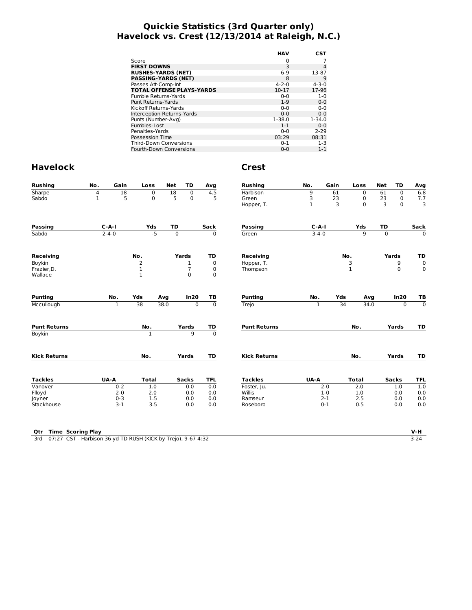# **Quickie Statistics (3rd Quarter only) Havelock vs. Crest (12/13/2014 at Raleigh, N.C.)**

|                                  | HAV         | CST         |
|----------------------------------|-------------|-------------|
| Score                            | 0           |             |
| <b>FIRST DOWNS</b>               | 3           | 4           |
| <b>RUSHES-YARDS (NET)</b>        | $6-9$       | 13-87       |
| <b>PASSING-YARDS (NET)</b>       | 8           | 9           |
| Passes Att-Comp-Int              | $4 - 2 - 0$ | $4 - 3 - 0$ |
| <b>TOTAL OFFENSE PLAYS-YARDS</b> | $10 - 17$   | 17-96       |
| Fumble Returns-Yards             | $0 - 0$     | $1 - 0$     |
| Punt Returns-Yards               | $1 - 9$     | $0 - 0$     |
| Kickoff Returns-Yards            | $0 - 0$     | $0 - 0$     |
| Interception Returns-Yards       | $0 - 0$     | $0 - 0$     |
| Punts (Number-Avg)               | $1 - 38.0$  | $1 - 34.0$  |
| Fumbles-Lost                     | $1 - 1$     | $0 - 0$     |
| Penalties-Yards                  | $0 - 0$     | $2 - 29$    |
| Possession Time                  | 03:29       | 08:31       |
| <b>Third-Down Conversions</b>    | $0 - 1$     | $1 - 3$     |
| <b>Fourth-Down Conversions</b>   | $0 - 0$     | $1 - 1$     |

| <b>Rushing</b>      | No.          | Gain         | Loss           | <b>Net</b> | <b>TD</b>            | Avg                           | <b>Rushing</b>      | No.          | Gain    | Loss           | <b>Net</b>     | <b>TD</b>    | Avg            |
|---------------------|--------------|--------------|----------------|------------|----------------------|-------------------------------|---------------------|--------------|---------|----------------|----------------|--------------|----------------|
| Sharpe              | 4            | 18           | 0              |            | 18<br>$\overline{0}$ | 4.5                           | <b>Harbison</b>     | 9            | 61      | $\mathbf 0$    | 61             | $\mathbf 0$  | 6.8            |
| Sabdo               | $\mathbf{1}$ | 5            | 0              |            | 5<br>$\mathbf 0$     | 5                             | Green               | 3            | 23      | 0              | 23             | $\mathbf 0$  | 7.7            |
|                     |              |              |                |            |                      |                               | Hopper, T.          | $\mathbf{1}$ | 3       | $\Omega$       | 3              | $\Omega$     | $\overline{3}$ |
| <b>Passing</b>      |              | $C - A - I$  | Yds            |            | TD                   | Sack                          | Passing             | $C-A-I$      |         | Yds            | TD             |              | Sack           |
| Sabdo               |              | $2 - 4 - 0$  | $-5$           |            | $\overline{0}$       | $\overline{0}$                | Green               | $3 - 4 - 0$  |         | $\overline{9}$ | $\overline{0}$ |              | $\overline{0}$ |
| <b>Receiving</b>    |              |              | No.            |            | Yards                | TD                            | <b>Receiving</b>    |              |         | No.            |                | Yards        | TD             |
| Boykin              |              |              | $\overline{2}$ |            | $\mathbf{1}$         | $\mathbf 0$                   | Hopper, T.          |              |         | 3              |                | 9            | $\overline{0}$ |
| Frazier, D.         |              |              | $\mathbf 1$    |            | 7                    | $\pmb{0}$                     | Thompson            |              |         | $\mathbf 1$    |                | $\Omega$     | $\mathbf 0$    |
| Wallace             |              |              | $\mathbf{1}$   |            | $\mathbf 0$          | $\mathbf 0$                   |                     |              |         |                |                |              |                |
| <b>Punting</b>      |              | No.          | Yds            | Avq        | In20                 | TB                            | <b>Punting</b>      | No.          | Yds     | Avg            |                | In20         | TB             |
| Mccullough          |              | $\mathbf{1}$ | 38             | 38.0       |                      | $\overline{0}$<br>$\mathbf 0$ | Trejo               | $\mathbf{1}$ | 34      | 34.0           |                | $\mathbf 0$  | $\overline{0}$ |
| <b>Punt Returns</b> |              |              | No.            |            | Yards                | TD                            | <b>Punt Returns</b> |              |         | No.            |                | Yards        | TD             |
| Boykin              |              |              | $\mathbf{1}$   |            | $\overline{9}$       | $\overline{0}$                |                     |              |         |                |                |              |                |
| <b>Kick Returns</b> |              |              | No.            |            | Yards                | TD                            | <b>Kick Returns</b> |              |         | No.            |                | Yards        | TD             |
|                     |              |              |                |            |                      |                               |                     |              |         |                |                |              |                |
| <b>Tackles</b>      |              | UA-A         | <b>Total</b>   |            | <b>Sacks</b>         | <b>TFL</b>                    | <b>Tackles</b>      | UA-A         |         | <b>Total</b>   |                | <b>Sacks</b> | <b>TFL</b>     |
| Vanover             |              | $0 - 2$      | 1.0            |            | 0.0                  | 0.0                           | Foster, Ju.         |              | $2 - 0$ | 2.0            |                | 1.0          | 1.0            |
| Flloyd              |              | $2 - 0$      | 2.0            |            | 0.0                  | 0.0                           | <b>Willis</b>       |              | $1 - 0$ | 1.0            |                | 0.0          | 0.0            |
| Joyner              |              | $0 - 3$      | 1.5            |            | 0.0                  | 0.0                           | Ramseur             |              | $2 - 1$ | 2.5            |                | 0.0          | 0.0            |
| Stackhouse          |              | $3 - 1$      | 3.5            |            | 0.0                  | 0.0                           | Roseboro            |              | $0 - 1$ | 0.5            |                | 0.0          | 0.0            |
|                     |              |              |                |            |                      |                               |                     |              |         |                |                |              |                |

| Otr | <b>Time Scoring Play</b>                                      |      |
|-----|---------------------------------------------------------------|------|
| 3rd | 07:27 CST - Harbison 36 yd TD RUSH (KICK by Trejo), 9-67 4:32 | 3-24 |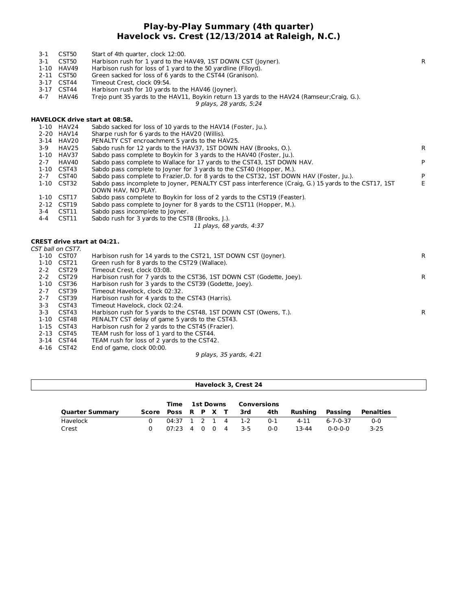## **Play-by-Play Summary (4th quarter) Havelock vs. Crest (12/13/2014 at Raleigh, N.C.)**

| $3-1$<br>$3 - 1$<br>$4 - 7$ | CST50<br>CST50<br>1-10 HAV49<br>2-11 CST50<br>3-17 CST44<br>3-17 CST44<br>HAV46 | Start of 4th quarter, clock 12:00.<br>Harbison rush for 1 yard to the HAV49, 1ST DOWN CST (loyner).<br>Harbison rush for loss of 1 yard to the 50 yardline (Flloyd).<br>Green sacked for loss of 6 yards to the CST44 (Granison).<br>Timeout Crest, clock 09:54.<br>Harbison rush for 10 yards to the HAV46 (Joyner).<br>Trejo punt 35 yards to the HAV11, Boykin return 13 yards to the HAV24 (Ramseur; Craig, G.).<br>9 plays, 28 yards, 5:24 | $\mathsf{R}$ |
|-----------------------------|---------------------------------------------------------------------------------|-------------------------------------------------------------------------------------------------------------------------------------------------------------------------------------------------------------------------------------------------------------------------------------------------------------------------------------------------------------------------------------------------------------------------------------------------|--------------|
|                             |                                                                                 | HAVELOCK drive start at 08:58.                                                                                                                                                                                                                                                                                                                                                                                                                  |              |
|                             | 1-10 HAV24                                                                      | Sabdo sacked for loss of 10 yards to the HAV14 (Foster, Ju.).                                                                                                                                                                                                                                                                                                                                                                                   |              |
|                             | 2-20 HAV14                                                                      | Sharpe rush for 6 yards to the HAV20 (Willis).                                                                                                                                                                                                                                                                                                                                                                                                  |              |
|                             | 3-14 HAV20                                                                      | PENALTY CST encroachment 5 yards to the HAV25.                                                                                                                                                                                                                                                                                                                                                                                                  |              |
| $3-9$                       | HAV25                                                                           | Sabdo rush for 12 yards to the HAV37, 1ST DOWN HAV (Brooks, O.).                                                                                                                                                                                                                                                                                                                                                                                | R            |
|                             | 1-10 HAV37                                                                      | Sabdo pass complete to Boykin for 3 yards to the HAV40 (Foster, Ju.).                                                                                                                                                                                                                                                                                                                                                                           |              |
| $2 - 7$                     | HAV40                                                                           | Sabdo pass complete to Wallace for 17 yards to the CST43, 1ST DOWN HAV.                                                                                                                                                                                                                                                                                                                                                                         | P            |
|                             | 1-10 CST43                                                                      | Sabdo pass complete to Joyner for 3 yards to the CST40 (Hopper, M.).                                                                                                                                                                                                                                                                                                                                                                            |              |
| $2 - 7$                     | CST40                                                                           | Sabdo pass complete to Frazier, D. for 8 yards to the CST32, 1ST DOWN HAV (Foster, Ju.).                                                                                                                                                                                                                                                                                                                                                        | P            |
|                             | 1-10 CST32                                                                      | Sabdo pass incomplete to Joyner, PENALTY CST pass interference (Craig, G.) 15 yards to the CST17, 1ST<br>DOWN HAV, NO PLAY.                                                                                                                                                                                                                                                                                                                     | E            |
|                             | 1-10 CST17                                                                      | Sabdo pass complete to Boykin for loss of 2 yards to the CST19 (Feaster).                                                                                                                                                                                                                                                                                                                                                                       |              |
|                             | 2-12 CST19                                                                      | Sabdo pass complete to Joyner for 8 yards to the CST11 (Hopper, M.).                                                                                                                                                                                                                                                                                                                                                                            |              |
| $3-4$                       | CST11                                                                           | Sabdo pass incomplete to Joyner.                                                                                                                                                                                                                                                                                                                                                                                                                |              |
| 4-4                         | CST11                                                                           | Sabdo rush for 3 yards to the CST8 (Brooks, J.).                                                                                                                                                                                                                                                                                                                                                                                                |              |
|                             |                                                                                 | 11 plays, 68 yards, 4:37                                                                                                                                                                                                                                                                                                                                                                                                                        |              |
|                             |                                                                                 | <b>CREST drive start at 04:21.</b>                                                                                                                                                                                                                                                                                                                                                                                                              |              |
|                             | CST ball on CST7.                                                               |                                                                                                                                                                                                                                                                                                                                                                                                                                                 |              |
|                             | 1-10 CST07                                                                      | Harbison rush for 14 yards to the CST21, 1ST DOWN CST (Joyner).                                                                                                                                                                                                                                                                                                                                                                                 | $\mathsf{R}$ |
|                             | 1-10 CST21                                                                      | Green rush for 8 yards to the CST29 (Wallace).                                                                                                                                                                                                                                                                                                                                                                                                  |              |
| $2 - 2$                     | CST29                                                                           | Timeout Crest, clock 03:08.                                                                                                                                                                                                                                                                                                                                                                                                                     |              |
| $2 - 2$                     | CST <sub>29</sub>                                                               | Harbison rush for 7 yards to the CST36, 1ST DOWN CST (Godette, Joey).                                                                                                                                                                                                                                                                                                                                                                           | R            |
|                             | 1-10 CST36                                                                      | Harbison rush for 3 yards to the CST39 (Godette, Joey).                                                                                                                                                                                                                                                                                                                                                                                         |              |
| $2 - 7$<br>$2 - 7$          | CST39<br>CST39                                                                  | Timeout Havelock, clock 02:32.                                                                                                                                                                                                                                                                                                                                                                                                                  |              |
| $3 - 3$                     | CST43                                                                           | Harbison rush for 4 yards to the CST43 (Harris).<br>Timeout Havelock, clock 02:24.                                                                                                                                                                                                                                                                                                                                                              |              |
| $3 - 3$                     | CST43                                                                           | Harbison rush for 5 yards to the CST48, 1ST DOWN CST (Owens, T.).                                                                                                                                                                                                                                                                                                                                                                               | $\mathsf{R}$ |
|                             | 1-10 CST48                                                                      | PENALTY CST delay of game 5 yards to the CST43.                                                                                                                                                                                                                                                                                                                                                                                                 |              |
|                             | 1-15 CST43                                                                      | Harbison rush for 2 yards to the CST45 (Frazier).                                                                                                                                                                                                                                                                                                                                                                                               |              |
|                             | 2-13 CST45                                                                      | TEAM rush for loss of 1 yard to the CST44.                                                                                                                                                                                                                                                                                                                                                                                                      |              |
|                             | 3-14 CST44                                                                      | TEAM rush for loss of 2 yards to the CST42.                                                                                                                                                                                                                                                                                                                                                                                                     |              |
|                             | 4-16 CST42                                                                      | End of game, clock 00:00.                                                                                                                                                                                                                                                                                                                                                                                                                       |              |
|                             |                                                                                 | 9 plays, 35 yards, 4:21                                                                                                                                                                                                                                                                                                                                                                                                                         |              |
|                             |                                                                                 |                                                                                                                                                                                                                                                                                                                                                                                                                                                 |              |

|                        | Time 1st Downs         |                                                   |  |  |  | Conversions |                   |         |         |          |                  |
|------------------------|------------------------|---------------------------------------------------|--|--|--|-------------|-------------------|---------|---------|----------|------------------|
| <b>Quarter Summary</b> | Score Poss R P X T 3rd |                                                   |  |  |  |             |                   | 4th     | Rushina | Passing  | <b>Penalties</b> |
| Havelock               |                        |                                                   |  |  |  |             | 04:37 1 2 1 4 1-2 | 0-1     | 4-11    | 6-7-0-37 | $0 - 0$          |
| Crest                  |                        | $07:23 \quad 4 \quad 0 \quad 0 \quad 4 \quad 3-5$ |  |  |  |             |                   | $0 - 0$ | 13-44   | 0-0-0-0  | $3 - 25$         |